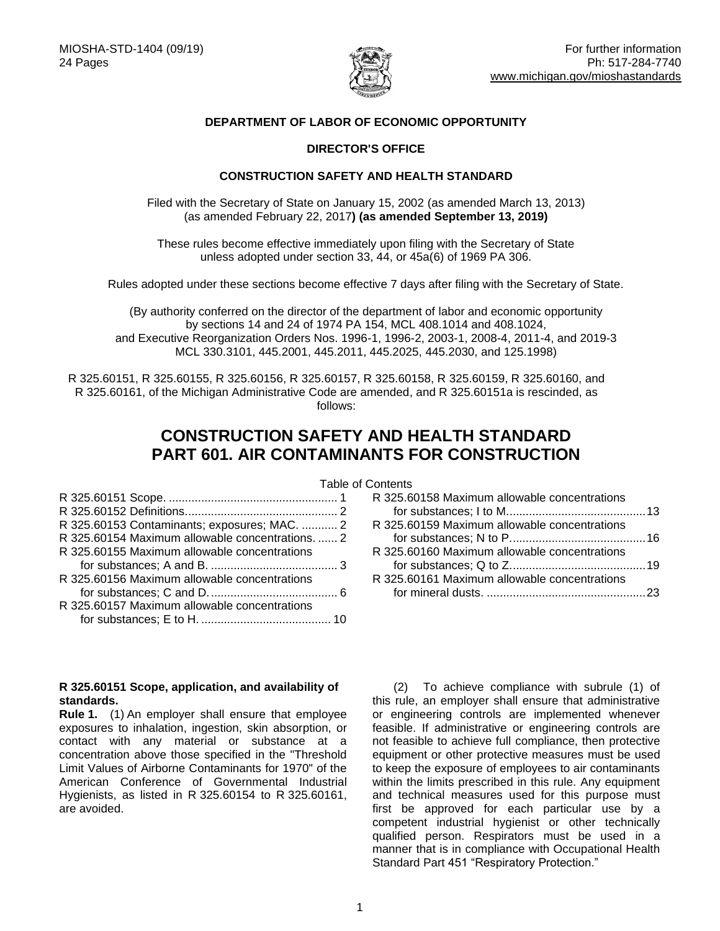

## **DEPARTMENT OF LABOR OF ECONOMIC OPPORTUNITY**

## **DIRECTOR'S OFFICE**

## **CONSTRUCTION SAFETY AND HEALTH STANDARD**

Filed with the Secretary of State on January 15, 2002 (as amended March 13, 2013) (as amended February 22, 2017**) (as amended September 13, 2019)**

These rules become effective immediately upon filing with the Secretary of State unless adopted under section 33, 44, or 45a(6) of 1969 PA 306.

Rules adopted under these sections become effective 7 days after filing with the Secretary of State.

(By authority conferred on the director of the department of labor and economic opportunity by sections 14 and 24 of 1974 PA 154, MCL 408.1014 and 408.1024, and Executive Reorganization Orders Nos. 1996-1, 1996-2, 2003-1, 2008-4, 2011-4, and 2019-3 MCL 330.3101, 445.2001, 445.2011, 445.2025, 445.2030, and 125.1998)

R 325.60151, R 325.60155, R 325.60156, R 325.60157, R 325.60158, R 325.60159, R 325.60160, and R 325.60161, of the Michigan Administrative Code are amended, and R 325.60151a is rescinded, as follows:

# **CONSTRUCTION SAFETY AND HEALTH STANDARD PART 601. AIR CONTAMINANTS FOR CONSTRUCTION**

| R 325.60153 Contaminants; exposures; MAC.  2     |  |
|--------------------------------------------------|--|
| R 325.60154 Maximum allowable concentrations.  2 |  |
| R 325.60155 Maximum allowable concentrations     |  |
|                                                  |  |
| R 325.60156 Maximum allowable concentrations     |  |
|                                                  |  |
| R 325.60157 Maximum allowable concentrations     |  |
|                                                  |  |

## <span id="page-0-0"></span>**R 325.60151 Scope, application, and availability of standards.**

**Rule 1.** (1) An employer shall ensure that employee exposures to inhalation, ingestion, skin absorption, or contact with any material or substance at a concentration above those specified in the "Threshold Limit Values of Airborne Contaminants for 1970" of the American Conference of Governmental Industrial Hygienists, as listed in R 325.60154 to R 325.60161, are avoided.

Table of Contents

| R 325.60158 Maximum allowable concentrations |  |
|----------------------------------------------|--|
|                                              |  |
| R 325.60159 Maximum allowable concentrations |  |
|                                              |  |
| R 325.60160 Maximum allowable concentrations |  |
|                                              |  |
| R 325.60161 Maximum allowable concentrations |  |
|                                              |  |
|                                              |  |

(2) To achieve compliance with subrule (1) of this rule, an employer shall ensure that administrative or engineering controls are implemented whenever feasible. If administrative or engineering controls are not feasible to achieve full compliance, then protective equipment or other protective measures must be used to keep the exposure of employees to air contaminants within the limits prescribed in this rule. Any equipment and technical measures used for this purpose must first be approved for each particular use by a competent industrial hygienist or other technically qualified person. Respirators must be used in a manner that is in compliance with Occupational Health Standard Part 451 "Respiratory Protection."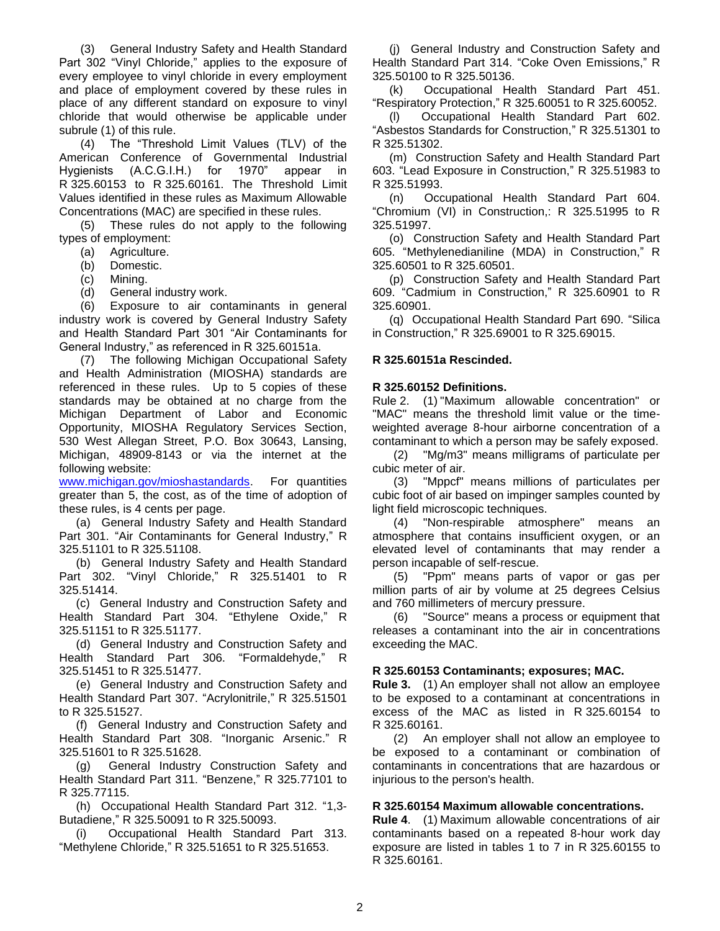(3) General Industry Safety and Health Standard Part 302 "Vinyl Chloride," applies to the exposure of every employee to vinyl chloride in every employment and place of employment covered by these rules in place of any different standard on exposure to vinyl chloride that would otherwise be applicable under subrule (1) of this rule.

(4) The "Threshold Limit Values (TLV) of the American Conference of Governmental Industrial Hygienists (A.C.G.I.H.) for 1970" appear in R 325.60153 to R 325.60161. The Threshold Limit Values identified in these rules as Maximum Allowable Concentrations (MAC) are specified in these rules.

(5) These rules do not apply to the following types of employment:

- (a) Agriculture.
- (b) Domestic.
- (c) Mining.
- (d) General industry work.

(6) Exposure to air contaminants in general industry work is covered by General Industry Safety and Health Standard Part 301 "Air Contaminants for General Industry," as referenced in R 325.60151a.

(7) The following Michigan Occupational Safety and Health Administration (MIOSHA) standards are referenced in these rules. Up to 5 copies of these standards may be obtained at no charge from the Michigan Department of Labor and Economic Opportunity, MIOSHA Regulatory Services Section, 530 West Allegan Street, P.O. Box 30643, Lansing, Michigan, 48909-8143 or via the internet at the following website:

[www.michigan.gov/mioshastandards.](http://www.michigan.gov/mioshastandards) For quantities greater than 5, the cost, as of the time of adoption of these rules, is 4 cents per page.

(a) General Industry Safety and Health Standard Part 301. "Air Contaminants for General Industry," R 325.51101 to R 325.51108.

(b) General Industry Safety and Health Standard Part 302. "Vinyl Chloride," R 325.51401 to R 325.51414.

(c) General Industry and Construction Safety and Health Standard Part 304. "Ethylene Oxide," R 325.51151 to R 325.51177.

(d) General Industry and Construction Safety and Health Standard Part 306. "Formaldehyde," R 325.51451 to R 325.51477.

(e) General Industry and Construction Safety and Health Standard Part 307. "Acrylonitrile," R 325.51501 to R 325.51527.

(f) General Industry and Construction Safety and Health Standard Part 308. "Inorganic Arsenic." R 325.51601 to R 325.51628.

(g) General Industry Construction Safety and Health Standard Part 311. "Benzene," R 325.77101 to R 325.77115.

(h) Occupational Health Standard Part 312. "1,3- Butadiene," R 325.50091 to R 325.50093.

(i) Occupational Health Standard Part 313. "Methylene Chloride," R 325.51651 to R 325.51653.

(j) General Industry and Construction Safety and Health Standard Part 314. "Coke Oven Emissions," R 325.50100 to R 325.50136.

(k) Occupational Health Standard Part 451. "Respiratory Protection," R 325.60051 to R 325.60052.

(l) Occupational Health Standard Part 602. "Asbestos Standards for Construction," R 325.51301 to R 325.51302.

(m) Construction Safety and Health Standard Part 603. "Lead Exposure in Construction," R 325.51983 to R 325.51993.

(n) Occupational Health Standard Part 604. "Chromium (VI) in Construction,: R 325.51995 to R 325.51997.

(o) Construction Safety and Health Standard Part 605. "Methylenedianiline (MDA) in Construction," R 325.60501 to R 325.60501.

(p) Construction Safety and Health Standard Part 609. "Cadmium in Construction," R 325.60901 to R 325.60901.

(q) Occupational Health Standard Part 690. "Silica in Construction," R 325.69001 to R 325.69015.

#### **R 325.60151a Rescinded.**

#### <span id="page-1-0"></span>**R 325.60152 Definitions.**

Rule 2. (1) "Maximum allowable concentration" or "MAC" means the threshold limit value or the timeweighted average 8-hour airborne concentration of a contaminant to which a person may be safely exposed.

(2) "Mg/m3" means milligrams of particulate per cubic meter of air.

(3) "Mppcf" means millions of particulates per cubic foot of air based on impinger samples counted by light field microscopic techniques.

(4) "Non-respirable atmosphere" means an atmosphere that contains insufficient oxygen, or an elevated level of contaminants that may render a person incapable of self-rescue.

(5) "Ppm" means parts of vapor or gas per million parts of air by volume at 25 degrees Celsius and 760 millimeters of mercury pressure.

(6) "Source" means a process or equipment that releases a contaminant into the air in concentrations exceeding the MAC.

#### <span id="page-1-1"></span>**R 325.60153 Contaminants; exposures; MAC.**

**Rule 3.** (1) An employer shall not allow an employee to be exposed to a contaminant at concentrations in excess of the MAC as listed in R 325.60154 to R 325.60161.

(2) An employer shall not allow an employee to be exposed to a contaminant or combination of contaminants in concentrations that are hazardous or injurious to the person's health.

#### <span id="page-1-2"></span>**R 325.60154 Maximum allowable concentrations.**

**Rule 4**. (1) Maximum allowable concentrations of air contaminants based on a repeated 8-hour work day exposure are listed in tables 1 to 7 in R 325.60155 to R 325.60161.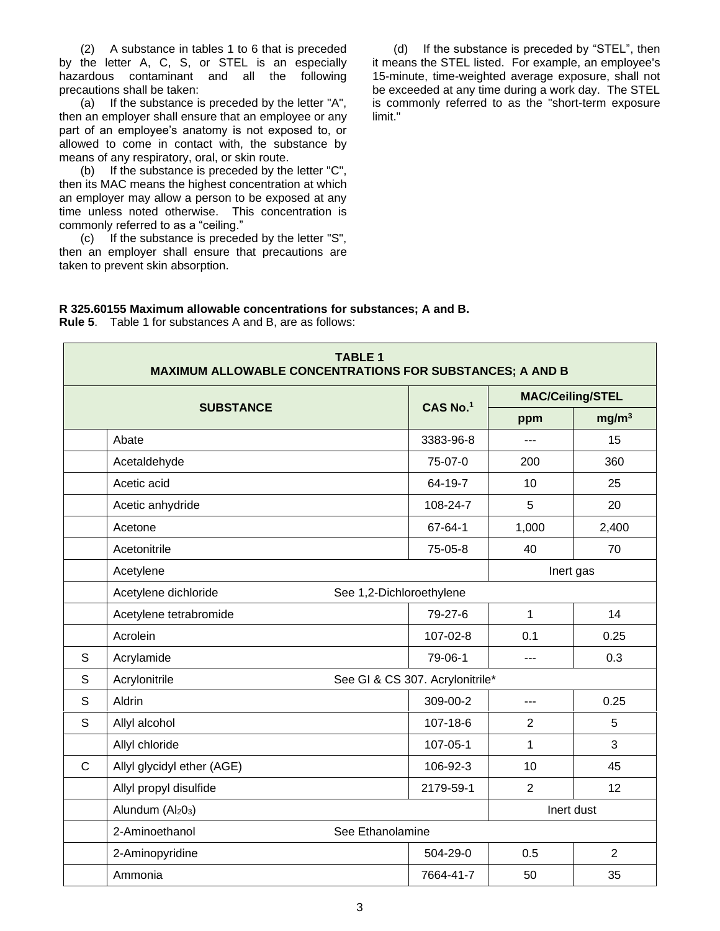(2) A substance in tables 1 to 6 that is preceded by the letter A, C, S, or STEL is an especially hazardous contaminant and all the following precautions shall be taken:

(a) If the substance is preceded by the letter "A", then an employer shall ensure that an employee or any part of an employee's anatomy is not exposed to, or allowed to come in contact with, the substance by means of any respiratory, oral, or skin route.

(b) If the substance is preceded by the letter "C", then its MAC means the highest concentration at which an employer may allow a person to be exposed at any time unless noted otherwise. This concentration is commonly referred to as a "ceiling."

(c) If the substance is preceded by the letter "S", then an employer shall ensure that precautions are taken to prevent skin absorption.

(d) If the substance is preceded by "STEL", then it means the STEL listed. For example, an employee's 15-minute, time-weighted average exposure, shall not be exceeded at any time during a work day. The STEL is commonly referred to as the "short-term exposure limit."

<span id="page-2-0"></span>

| R 325.60155 Maximum allowable concentrations for substances; A and B. |
|-----------------------------------------------------------------------|
| <b>Rule 5.</b> Table 1 for substances A and B, are as follows:        |

| <b>TABLE 1</b><br><b>MAXIMUM ALLOWABLE CONCENTRATIONS FOR SUBSTANCES; A AND B</b> |                                                  |                                 |                |                         |
|-----------------------------------------------------------------------------------|--------------------------------------------------|---------------------------------|----------------|-------------------------|
|                                                                                   |                                                  | CAS No.1                        |                | <b>MAC/Ceiling/STEL</b> |
|                                                                                   | <b>SUBSTANCE</b>                                 |                                 | ppm            | mg/m <sup>3</sup>       |
|                                                                                   | Abate                                            | 3383-96-8                       |                | 15                      |
|                                                                                   | Acetaldehyde                                     | 75-07-0                         | 200            | 360                     |
|                                                                                   | Acetic acid                                      | 64-19-7                         | 10             | 25                      |
|                                                                                   | Acetic anhydride                                 | 108-24-7                        | 5              | 20                      |
|                                                                                   | Acetone                                          | 67-64-1                         | 1,000          | 2,400                   |
|                                                                                   | Acetonitrile                                     | 75-05-8                         | 40             | 70                      |
|                                                                                   | Acetylene<br>Inert gas                           |                                 |                |                         |
|                                                                                   | Acetylene dichloride<br>See 1,2-Dichloroethylene |                                 |                |                         |
|                                                                                   | Acetylene tetrabromide                           | 79-27-6                         | $\mathbf{1}$   | 14                      |
|                                                                                   | Acrolein                                         | 107-02-8                        | 0.1            | 0.25                    |
| S                                                                                 | Acrylamide                                       | 79-06-1                         | $- - -$        | 0.3                     |
| S                                                                                 | Acrylonitrile                                    | See GI & CS 307. Acrylonitrile* |                |                         |
| S                                                                                 | Aldrin                                           | 309-00-2                        | ---            | 0.25                    |
| S                                                                                 | Allyl alcohol                                    | 107-18-6                        | $\overline{2}$ | 5                       |
|                                                                                   | Allyl chloride                                   | 107-05-1                        | 1              | 3                       |
| $\mathsf{C}$                                                                      | Allyl glycidyl ether (AGE)                       | 106-92-3                        | 10             | 45                      |
|                                                                                   | Allyl propyl disulfide                           | 2179-59-1                       | $\overline{2}$ | 12                      |
|                                                                                   | Alundum (Al2O3)                                  |                                 |                | Inert dust              |
|                                                                                   | 2-Aminoethanol<br>See Ethanolamine               |                                 |                |                         |
|                                                                                   | 2-Aminopyridine                                  | 504-29-0                        | 0.5            | 2                       |
|                                                                                   | Ammonia                                          | 7664-41-7                       | 50             | 35                      |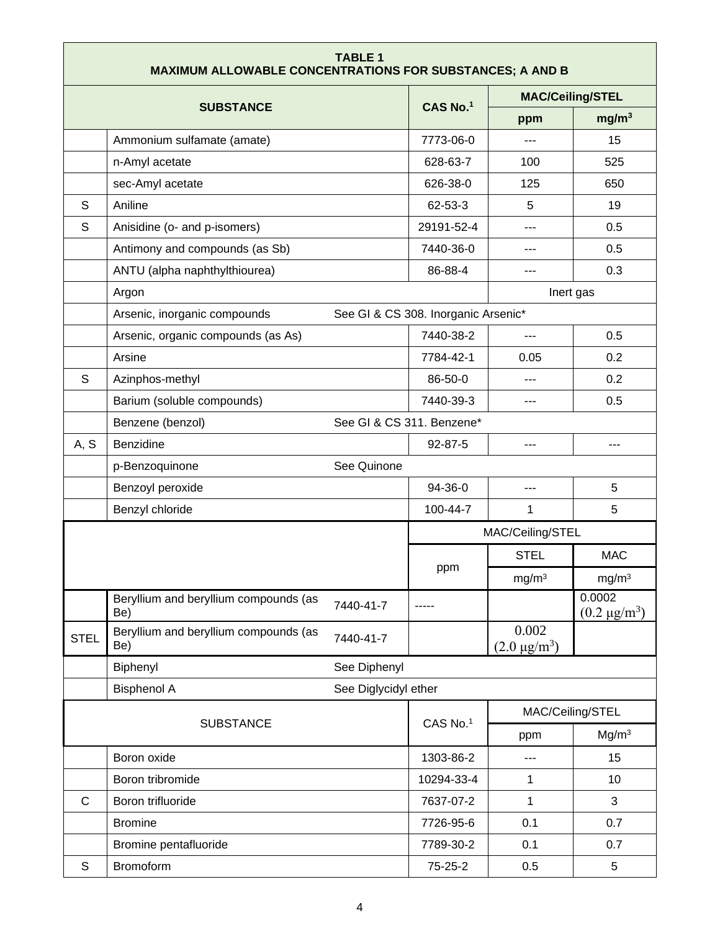| <b>TABLE 1</b><br><b>MAXIMUM ALLOWABLE CONCENTRATIONS FOR SUBSTANCES; A AND B</b> |                                                           |                                     |                              |                               |  |
|-----------------------------------------------------------------------------------|-----------------------------------------------------------|-------------------------------------|------------------------------|-------------------------------|--|
|                                                                                   |                                                           |                                     | <b>MAC/Ceiling/STEL</b>      |                               |  |
|                                                                                   | <b>SUBSTANCE</b>                                          | CAS No.1                            | ppm                          | mg/m <sup>3</sup>             |  |
|                                                                                   | Ammonium sulfamate (amate)                                | 7773-06-0                           |                              | 15                            |  |
|                                                                                   | n-Amyl acetate                                            | 628-63-7                            | 100                          | 525                           |  |
|                                                                                   | sec-Amyl acetate                                          | 626-38-0                            | 125                          | 650                           |  |
| S                                                                                 | Aniline                                                   | 62-53-3                             | 5                            | 19                            |  |
| S                                                                                 | Anisidine (o- and p-isomers)                              | 29191-52-4                          | ---                          | 0.5                           |  |
|                                                                                   | Antimony and compounds (as Sb)                            | 7440-36-0                           | ---                          | 0.5                           |  |
|                                                                                   | ANTU (alpha naphthylthiourea)                             | 86-88-4                             | ---                          | 0.3                           |  |
|                                                                                   | Argon                                                     |                                     | Inert gas                    |                               |  |
|                                                                                   | Arsenic, inorganic compounds                              | See GI & CS 308. Inorganic Arsenic* |                              |                               |  |
|                                                                                   | Arsenic, organic compounds (as As)                        | 7440-38-2                           | ---                          | 0.5                           |  |
|                                                                                   | Arsine                                                    | 7784-42-1                           | 0.05                         | 0.2                           |  |
| S                                                                                 | Azinphos-methyl                                           | 86-50-0                             |                              | 0.2                           |  |
|                                                                                   | Barium (soluble compounds)                                | 7440-39-3                           | ---                          | 0.5                           |  |
|                                                                                   | See GI & CS 311. Benzene*<br>Benzene (benzol)             |                                     |                              |                               |  |
| A, S                                                                              | Benzidine                                                 | 92-87-5                             | ---                          | $---$                         |  |
|                                                                                   | See Quinone<br>p-Benzoquinone                             |                                     |                              |                               |  |
|                                                                                   | Benzoyl peroxide                                          | 94-36-0                             | $---$                        | 5                             |  |
|                                                                                   | Benzyl chloride                                           | 100-44-7                            | 1                            | 5                             |  |
|                                                                                   |                                                           |                                     | MAC/Ceiling/STEL             |                               |  |
|                                                                                   |                                                           |                                     | <b>STEL</b>                  | <b>MAC</b>                    |  |
|                                                                                   |                                                           | ppm                                 | mg/m <sup>3</sup>            | mg/m <sup>3</sup>             |  |
|                                                                                   | Beryllium and beryllium compounds (as<br>7440-41-7<br>Be) |                                     |                              | 0.0002<br>$(0.2 \,\mu g/m^3)$ |  |
| <b>STEL</b>                                                                       | Beryllium and beryllium compounds (as<br>7440-41-7<br>Be) |                                     | 0.002<br>$(2.0 \,\mu g/m^3)$ |                               |  |
|                                                                                   | Biphenyl<br>See Diphenyl                                  |                                     |                              |                               |  |
|                                                                                   | <b>Bisphenol A</b><br>See Diglycidyl ether                |                                     |                              |                               |  |
|                                                                                   | <b>SUBSTANCE</b>                                          | CAS No.1                            | MAC/Ceiling/STEL             |                               |  |
|                                                                                   |                                                           |                                     | ppm                          | Mg/m <sup>3</sup>             |  |
|                                                                                   | Boron oxide                                               | 1303-86-2                           | $---$                        | 15                            |  |
|                                                                                   | Boron tribromide                                          | 10294-33-4                          | $\mathbf 1$                  | 10                            |  |
| C                                                                                 | Boron trifluoride                                         | 7637-07-2                           | 1                            | 3                             |  |
|                                                                                   | <b>Bromine</b>                                            | 7726-95-6                           | 0.1                          | 0.7                           |  |
|                                                                                   | Bromine pentafluoride                                     | 7789-30-2                           | 0.1                          | 0.7                           |  |
| $\mathbb S$                                                                       | Bromoform                                                 | 75-25-2                             | 0.5                          | 5                             |  |

Г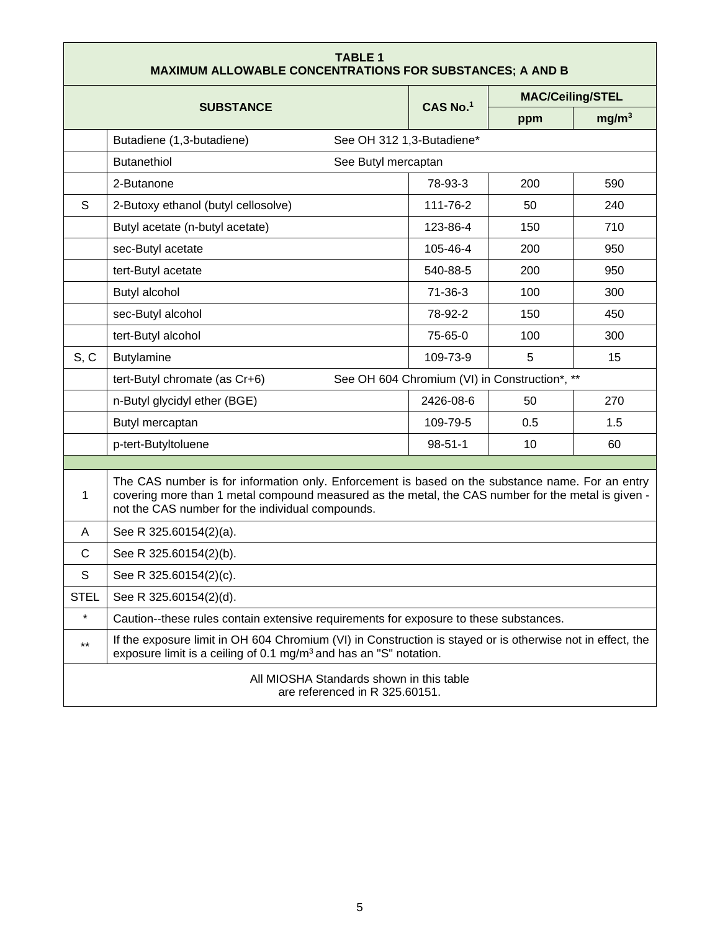<span id="page-4-0"></span>

| <b>TABLE 1</b><br><b>MAXIMUM ALLOWABLE CONCENTRATIONS FOR SUBSTANCES; A AND B</b> |                                                                                                                                                                                                                                                            |                                               |                         |                   |
|-----------------------------------------------------------------------------------|------------------------------------------------------------------------------------------------------------------------------------------------------------------------------------------------------------------------------------------------------------|-----------------------------------------------|-------------------------|-------------------|
|                                                                                   |                                                                                                                                                                                                                                                            |                                               | <b>MAC/Ceiling/STEL</b> |                   |
|                                                                                   | <b>SUBSTANCE</b>                                                                                                                                                                                                                                           | CAS No.1                                      | ppm                     | mg/m <sup>3</sup> |
|                                                                                   | See OH 312 1,3-Butadiene*<br>Butadiene (1,3-butadiene)                                                                                                                                                                                                     |                                               |                         |                   |
|                                                                                   | <b>Butanethiol</b><br>See Butyl mercaptan                                                                                                                                                                                                                  |                                               |                         |                   |
|                                                                                   | 2-Butanone                                                                                                                                                                                                                                                 | 78-93-3                                       | 200                     | 590               |
| S                                                                                 | 2-Butoxy ethanol (butyl cellosolve)                                                                                                                                                                                                                        | 111-76-2                                      | 50                      | 240               |
|                                                                                   | Butyl acetate (n-butyl acetate)                                                                                                                                                                                                                            | 123-86-4                                      | 150                     | 710               |
|                                                                                   | sec-Butyl acetate                                                                                                                                                                                                                                          | 105-46-4                                      | 200                     | 950               |
|                                                                                   | tert-Butyl acetate                                                                                                                                                                                                                                         | 540-88-5                                      | 200                     | 950               |
|                                                                                   | Butyl alcohol                                                                                                                                                                                                                                              | $71-36-3$                                     | 100                     | 300               |
|                                                                                   | sec-Butyl alcohol                                                                                                                                                                                                                                          | 78-92-2                                       | 150                     | 450               |
|                                                                                   | tert-Butyl alcohol                                                                                                                                                                                                                                         | 75-65-0                                       | 100                     | 300               |
| S, C                                                                              | <b>Butylamine</b>                                                                                                                                                                                                                                          | 109-73-9                                      | 5                       | 15                |
|                                                                                   | tert-Butyl chromate (as Cr+6)                                                                                                                                                                                                                              | See OH 604 Chromium (VI) in Construction*, ** |                         |                   |
|                                                                                   | n-Butyl glycidyl ether (BGE)                                                                                                                                                                                                                               | 2426-08-6                                     | 50                      | 270               |
|                                                                                   | Butyl mercaptan                                                                                                                                                                                                                                            | 109-79-5                                      | 0.5                     | 1.5               |
|                                                                                   | p-tert-Butyltoluene                                                                                                                                                                                                                                        | $98 - 51 - 1$                                 | 10                      | 60                |
|                                                                                   |                                                                                                                                                                                                                                                            |                                               |                         |                   |
| 1                                                                                 | The CAS number is for information only. Enforcement is based on the substance name. For an entry<br>covering more than 1 metal compound measured as the metal, the CAS number for the metal is given -<br>not the CAS number for the individual compounds. |                                               |                         |                   |
| A                                                                                 | See R 325.60154(2)(a).                                                                                                                                                                                                                                     |                                               |                         |                   |
| С                                                                                 | See R 325.60154(2)(b).                                                                                                                                                                                                                                     |                                               |                         |                   |
| S                                                                                 | See R 325.60154(2)(c).                                                                                                                                                                                                                                     |                                               |                         |                   |
| <b>STEL</b>                                                                       | See R 325.60154(2)(d).                                                                                                                                                                                                                                     |                                               |                         |                   |
| $\star$                                                                           | Caution--these rules contain extensive requirements for exposure to these substances.                                                                                                                                                                      |                                               |                         |                   |
| $***$                                                                             | If the exposure limit in OH 604 Chromium (VI) in Construction is stayed or is otherwise not in effect, the<br>exposure limit is a ceiling of 0.1 mg/m <sup>3</sup> and has an "S" notation.                                                                |                                               |                         |                   |
|                                                                                   | All MIOSHA Standards shown in this table<br>are referenced in R 325.60151.                                                                                                                                                                                 |                                               |                         |                   |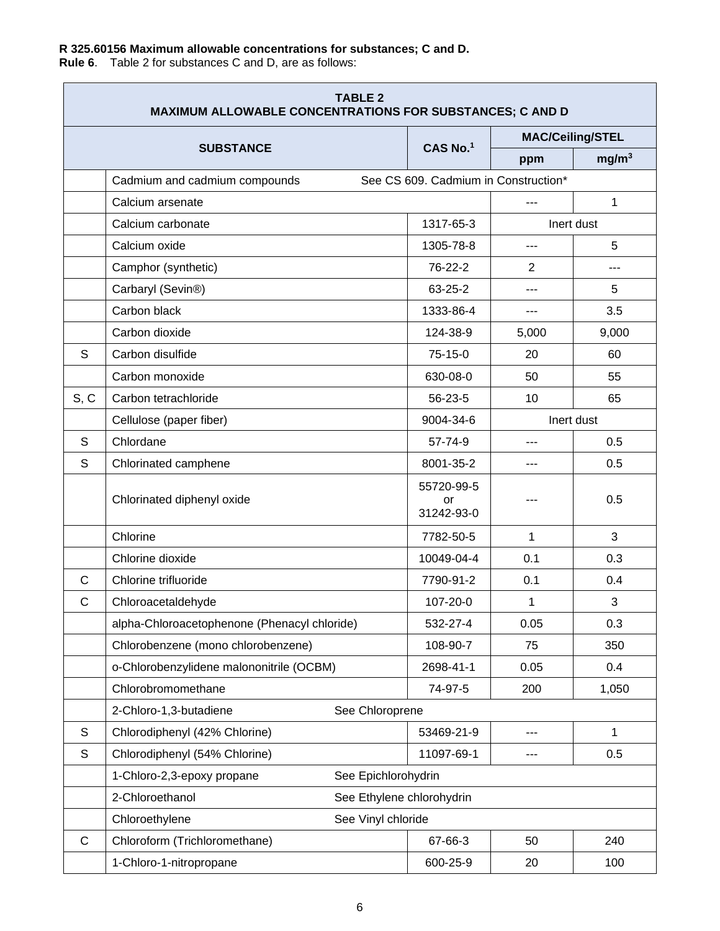## **R 325.60156 Maximum allowable concentrations for substances; C and D.**

**Rule 6**. Table 2 for substances C and D, are as follows:

| <b>TABLE 2</b><br><b>MAXIMUM ALLOWABLE CONCENTRATIONS FOR SUBSTANCES; C AND D</b> |                                                   |                                      |            |                         |
|-----------------------------------------------------------------------------------|---------------------------------------------------|--------------------------------------|------------|-------------------------|
|                                                                                   | <b>SUBSTANCE</b>                                  | CAS No.1                             |            | <b>MAC/Ceiling/STEL</b> |
|                                                                                   |                                                   |                                      | ppm        | mg/m <sup>3</sup>       |
|                                                                                   | Cadmium and cadmium compounds                     | See CS 609. Cadmium in Construction* |            |                         |
|                                                                                   | Calcium arsenate                                  |                                      | $---$      | 1                       |
|                                                                                   | Calcium carbonate                                 | 1317-65-3                            |            | Inert dust              |
|                                                                                   | Calcium oxide                                     | 1305-78-8                            | $---$      | 5                       |
|                                                                                   | Camphor (synthetic)                               | 76-22-2                              | 2          | $---$                   |
|                                                                                   | Carbaryl (Sevin®)                                 | 63-25-2                              | $---$      | 5                       |
|                                                                                   | Carbon black                                      | 1333-86-4                            | $---$      | 3.5                     |
|                                                                                   | Carbon dioxide                                    | 124-38-9                             | 5,000      | 9,000                   |
| S                                                                                 | Carbon disulfide                                  | $75-15-0$                            | 20         | 60                      |
|                                                                                   | Carbon monoxide                                   | 630-08-0                             | 50         | 55                      |
| S, C                                                                              | Carbon tetrachloride                              | 56-23-5                              | 10         | 65                      |
|                                                                                   | Cellulose (paper fiber)                           | 9004-34-6                            | Inert dust |                         |
| S                                                                                 | Chlordane                                         | 57-74-9                              | ---        | 0.5                     |
| S                                                                                 | Chlorinated camphene                              | 8001-35-2                            |            | 0.5                     |
|                                                                                   | Chlorinated diphenyl oxide                        | 55720-99-5<br>or<br>31242-93-0       |            | 0.5                     |
|                                                                                   | Chlorine                                          | 7782-50-5                            | 1          | 3                       |
|                                                                                   | Chlorine dioxide                                  | 10049-04-4                           | 0.1        | 0.3                     |
| C                                                                                 | Chlorine trifluoride                              | 7790-91-2                            | 0.1        | 0.4                     |
| $\mathsf{C}$                                                                      | Chloroacetaldehyde                                | 107-20-0                             | 1          | 3                       |
|                                                                                   | alpha-Chloroacetophenone (Phenacyl chloride)      | 532-27-4                             | 0.05       | 0.3                     |
|                                                                                   | Chlorobenzene (mono chlorobenzene)                | 108-90-7                             | 75         | 350                     |
|                                                                                   | o-Chlorobenzylidene malononitrile (OCBM)          | 2698-41-1                            | 0.05       | 0.4                     |
|                                                                                   | Chlorobromomethane                                | 74-97-5                              | 200        | 1,050                   |
|                                                                                   | 2-Chloro-1,3-butadiene<br>See Chloroprene         |                                      |            |                         |
| $\mathsf S$                                                                       | Chlorodiphenyl (42% Chlorine)                     | 53469-21-9                           | $---$      | $\mathbf{1}$            |
| S                                                                                 | Chlorodiphenyl (54% Chlorine)                     | 11097-69-1                           | $---$      | 0.5                     |
|                                                                                   | See Epichlorohydrin<br>1-Chloro-2,3-epoxy propane |                                      |            |                         |
|                                                                                   | 2-Chloroethanol                                   | See Ethylene chlorohydrin            |            |                         |
|                                                                                   | Chloroethylene<br>See Vinyl chloride              |                                      |            |                         |
| $\mathsf C$                                                                       | Chloroform (Trichloromethane)                     | 67-66-3                              | 50         | 240                     |
|                                                                                   | 1-Chloro-1-nitropropane                           | 600-25-9                             | 20         | 100                     |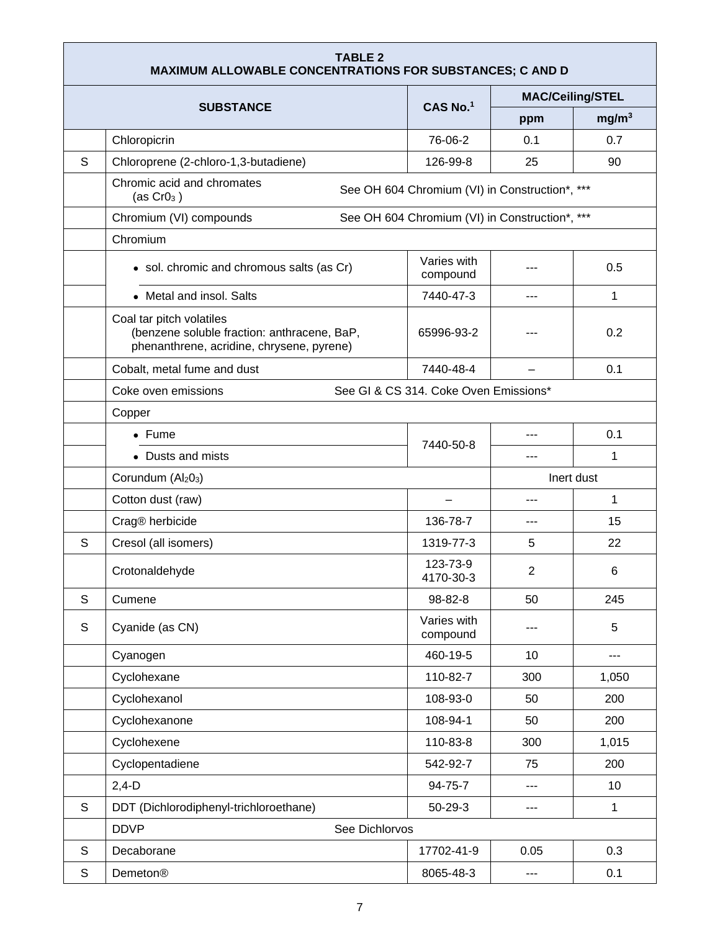| <b>TABLE 2</b><br><b>MAXIMUM ALLOWABLE CONCENTRATIONS FOR SUBSTANCES; C AND D</b> |                                                                                                                      |                                                |            |                         |  |
|-----------------------------------------------------------------------------------|----------------------------------------------------------------------------------------------------------------------|------------------------------------------------|------------|-------------------------|--|
|                                                                                   |                                                                                                                      |                                                |            | <b>MAC/Ceiling/STEL</b> |  |
|                                                                                   | <b>SUBSTANCE</b>                                                                                                     | CAS No.1                                       | ppm        | mg/m <sup>3</sup>       |  |
|                                                                                   | Chloropicrin                                                                                                         | 76-06-2                                        | 0.1        | 0.7                     |  |
| S                                                                                 | Chloroprene (2-chloro-1,3-butadiene)                                                                                 | 126-99-8                                       | 25         | 90                      |  |
|                                                                                   | Chromic acid and chromates<br>(as $CrO3$ )                                                                           | See OH 604 Chromium (VI) in Construction*, *** |            |                         |  |
|                                                                                   | Chromium (VI) compounds                                                                                              | See OH 604 Chromium (VI) in Construction*, *** |            |                         |  |
|                                                                                   | Chromium                                                                                                             |                                                |            |                         |  |
|                                                                                   | • sol. chromic and chromous salts (as Cr)                                                                            | Varies with<br>compound                        |            | 0.5                     |  |
|                                                                                   | • Metal and insol. Salts                                                                                             | 7440-47-3                                      | $- - -$    | 1                       |  |
|                                                                                   | Coal tar pitch volatiles<br>(benzene soluble fraction: anthracene, BaP,<br>phenanthrene, acridine, chrysene, pyrene) | 65996-93-2                                     |            | 0.2                     |  |
|                                                                                   | Cobalt, metal fume and dust                                                                                          | 7440-48-4                                      |            | 0.1                     |  |
|                                                                                   | Coke oven emissions                                                                                                  | See GI & CS 314. Coke Oven Emissions*          |            |                         |  |
|                                                                                   | Copper                                                                                                               |                                                |            |                         |  |
|                                                                                   | $\bullet$ Fume                                                                                                       | 7440-50-8                                      | ---        | 0.1                     |  |
|                                                                                   | • Dusts and mists                                                                                                    |                                                |            | $\mathbf{1}$            |  |
|                                                                                   | Corundum (Al <sub>2</sub> 0 <sub>3</sub> )                                                                           |                                                | Inert dust |                         |  |
|                                                                                   | Cotton dust (raw)                                                                                                    |                                                | ---        | 1                       |  |
|                                                                                   | Crag® herbicide                                                                                                      | 136-78-7                                       | ---        | 15                      |  |
| S                                                                                 | Cresol (all isomers)                                                                                                 | 1319-77-3                                      | 5          | 22                      |  |
|                                                                                   | Crotonaldehyde                                                                                                       | 123-73-9<br>4170-30-3                          | 2          | 6                       |  |
| S                                                                                 | Cumene                                                                                                               | 98-82-8                                        | 50         | 245                     |  |
| S                                                                                 | Cyanide (as CN)                                                                                                      | Varies with<br>compound                        |            | 5                       |  |
|                                                                                   | Cyanogen                                                                                                             | 460-19-5                                       | 10         | ---                     |  |
|                                                                                   | Cyclohexane                                                                                                          | 110-82-7                                       | 300        | 1,050                   |  |
|                                                                                   | Cyclohexanol                                                                                                         | 108-93-0                                       | 50         | 200                     |  |
|                                                                                   | Cyclohexanone                                                                                                        | 108-94-1                                       | 50         | 200                     |  |
|                                                                                   | Cyclohexene                                                                                                          | 110-83-8                                       | 300        | 1,015                   |  |
|                                                                                   | Cyclopentadiene                                                                                                      | 542-92-7                                       | 75         | 200                     |  |
|                                                                                   | $2,4-D$                                                                                                              | 94-75-7                                        |            | 10                      |  |
| S                                                                                 | DDT (Dichlorodiphenyl-trichloroethane)                                                                               | $50 - 29 - 3$                                  | ---        | $\mathbf{1}$            |  |
|                                                                                   | <b>DDVP</b><br>See Dichlorvos                                                                                        |                                                |            |                         |  |
| S                                                                                 | Decaborane                                                                                                           | 17702-41-9                                     | 0.05       | 0.3                     |  |
| S                                                                                 | Demeton®                                                                                                             | 8065-48-3                                      | ---        | 0.1                     |  |

Ē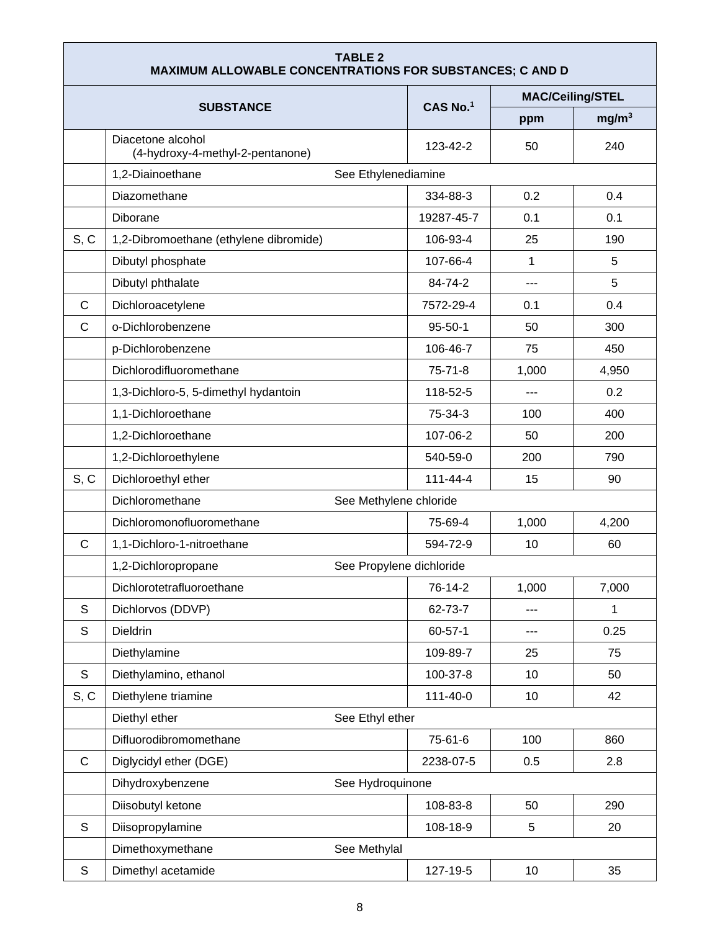| <b>TABLE 2</b><br><b>MAXIMUM ALLOWABLE CONCENTRATIONS FOR SUBSTANCES; C AND D</b> |                                                       |                |              |                         |
|-----------------------------------------------------------------------------------|-------------------------------------------------------|----------------|--------------|-------------------------|
|                                                                                   |                                                       |                |              | <b>MAC/Ceiling/STEL</b> |
|                                                                                   | <b>SUBSTANCE</b>                                      | CAS No.1       | ppm          | mg/m <sup>3</sup>       |
|                                                                                   | Diacetone alcohol<br>(4-hydroxy-4-methyl-2-pentanone) | 123-42-2       | 50           | 240                     |
|                                                                                   | 1,2-Diainoethane<br>See Ethylenediamine               |                |              |                         |
|                                                                                   | Diazomethane                                          | 334-88-3       | 0.2          | 0.4                     |
|                                                                                   | <b>Diborane</b>                                       | 19287-45-7     | 0.1          | 0.1                     |
| S, C                                                                              | 1,2-Dibromoethane (ethylene dibromide)                | 106-93-4       | 25           | 190                     |
|                                                                                   | Dibutyl phosphate                                     | 107-66-4       | $\mathbf{1}$ | 5                       |
|                                                                                   | Dibutyl phthalate                                     | 84-74-2        | ---          | 5                       |
| C                                                                                 | Dichloroacetylene                                     | 7572-29-4      | 0.1          | 0.4                     |
| C                                                                                 | o-Dichlorobenzene                                     | $95 - 50 - 1$  | 50           | 300                     |
|                                                                                   | p-Dichlorobenzene                                     | 106-46-7       | 75           | 450                     |
|                                                                                   | Dichlorodifluoromethane                               | $75 - 71 - 8$  | 1,000        | 4,950                   |
|                                                                                   | 1,3-Dichloro-5, 5-dimethyl hydantoin                  | 118-52-5       | $---$        | 0.2                     |
|                                                                                   | 1,1-Dichloroethane                                    | 75-34-3        | 100          | 400                     |
|                                                                                   | 1,2-Dichloroethane                                    | 107-06-2       | 50           | 200                     |
|                                                                                   | 1,2-Dichloroethylene                                  | 540-59-0       | 200          | 790                     |
| S, C                                                                              | Dichloroethyl ether                                   | $111 - 44 - 4$ | 15           | 90                      |
|                                                                                   | Dichloromethane<br>See Methylene chloride             |                |              |                         |
|                                                                                   | Dichloromonofluoromethane                             | 75-69-4        | 1,000        | 4,200                   |
| C                                                                                 | 1,1-Dichloro-1-nitroethane                            | 594-72-9       | 10           | 60                      |
|                                                                                   | See Propylene dichloride<br>1,2-Dichloropropane       |                |              |                         |
|                                                                                   | Dichlorotetrafluoroethane                             | 76-14-2        | 1,000        | 7,000                   |
| S                                                                                 | Dichlorvos (DDVP)                                     | 62-73-7        | $---$        | 1                       |
| $\mathsf S$                                                                       | Dieldrin                                              | $60 - 57 - 1$  | $---$        | 0.25                    |
|                                                                                   | Diethylamine                                          | 109-89-7       | 25           | 75                      |
| S                                                                                 | Diethylamino, ethanol                                 | 100-37-8       | 10           | 50                      |
| S, C                                                                              | Diethylene triamine                                   | 111-40-0       | 10           | 42                      |
|                                                                                   | Diethyl ether<br>See Ethyl ether                      |                |              |                         |
|                                                                                   | Difluorodibromomethane                                | 75-61-6        | 100          | 860                     |
| $\mathsf C$                                                                       | Diglycidyl ether (DGE)                                | 2238-07-5      | 0.5          | 2.8                     |
|                                                                                   | Dihydroxybenzene<br>See Hydroquinone                  |                |              |                         |
|                                                                                   | Diisobutyl ketone                                     | 108-83-8       | 50           | 290                     |
| S                                                                                 | Diisopropylamine                                      | 108-18-9       | 5            | 20                      |
|                                                                                   | Dimethoxymethane<br>See Methylal                      |                |              |                         |
| $\mathsf S$                                                                       | Dimethyl acetamide                                    | 127-19-5       | 10           | 35                      |

г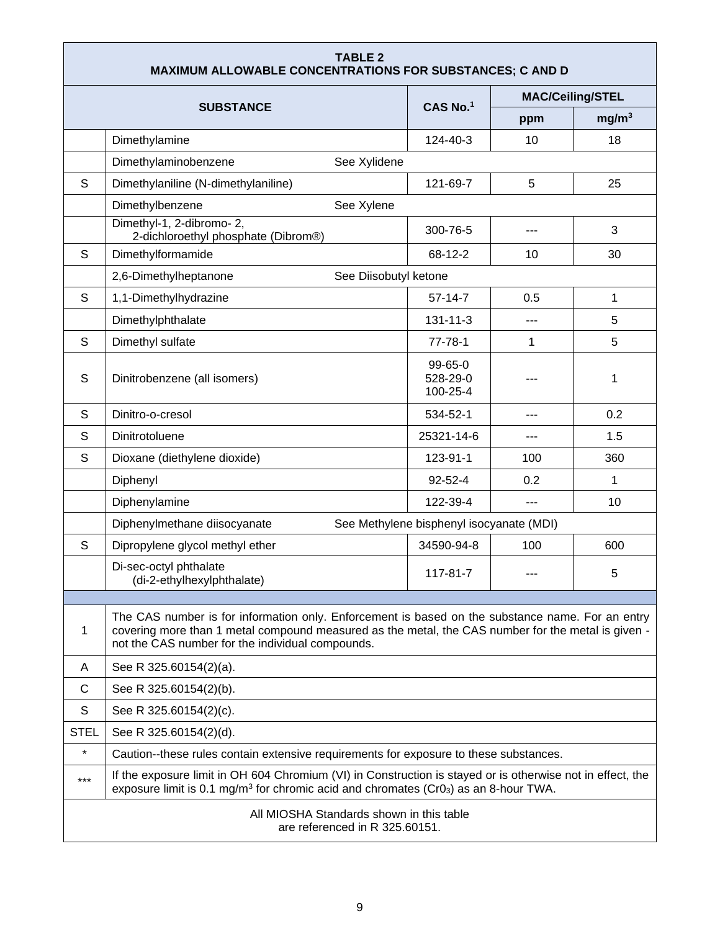| <b>TABLE 2</b><br><b>MAXIMUM ALLOWABLE CONCENTRATIONS FOR SUBSTANCES; C AND D</b> |                                                                                                                                                                                                                                                            |                                          |                         |                   |
|-----------------------------------------------------------------------------------|------------------------------------------------------------------------------------------------------------------------------------------------------------------------------------------------------------------------------------------------------------|------------------------------------------|-------------------------|-------------------|
|                                                                                   |                                                                                                                                                                                                                                                            |                                          | <b>MAC/Ceiling/STEL</b> |                   |
|                                                                                   | <b>SUBSTANCE</b>                                                                                                                                                                                                                                           | CAS No.1                                 | ppm                     | mg/m <sup>3</sup> |
|                                                                                   | Dimethylamine                                                                                                                                                                                                                                              | 124-40-3                                 | 10                      | 18                |
|                                                                                   | Dimethylaminobenzene<br>See Xylidene                                                                                                                                                                                                                       |                                          |                         |                   |
| S                                                                                 | Dimethylaniline (N-dimethylaniline)                                                                                                                                                                                                                        | 121-69-7                                 | 5                       | 25                |
|                                                                                   | Dimethylbenzene<br>See Xylene                                                                                                                                                                                                                              |                                          |                         |                   |
|                                                                                   | Dimethyl-1, 2-dibromo-2,<br>2-dichloroethyl phosphate (Dibrom®)                                                                                                                                                                                            | 300-76-5                                 |                         | 3                 |
| S                                                                                 | Dimethylformamide                                                                                                                                                                                                                                          | 68-12-2                                  | 10                      | 30                |
|                                                                                   | 2,6-Dimethylheptanone<br>See Diisobutyl ketone                                                                                                                                                                                                             |                                          |                         |                   |
| S                                                                                 | 1,1-Dimethylhydrazine                                                                                                                                                                                                                                      | $57-14-7$                                | 0.5                     | 1                 |
|                                                                                   | Dimethylphthalate                                                                                                                                                                                                                                          | $131 - 11 - 3$                           | ---                     | 5                 |
| S                                                                                 | Dimethyl sulfate                                                                                                                                                                                                                                           | $77 - 78 - 1$                            | 1                       | 5                 |
| S                                                                                 | Dinitrobenzene (all isomers)                                                                                                                                                                                                                               | 99-65-0<br>528-29-0<br>100-25-4          |                         | 1                 |
| S                                                                                 | Dinitro-o-cresol                                                                                                                                                                                                                                           | 534-52-1                                 |                         | 0.2               |
| S                                                                                 | Dinitrotoluene                                                                                                                                                                                                                                             | 25321-14-6                               | ---                     | 1.5               |
| S                                                                                 | Dioxane (diethylene dioxide)                                                                                                                                                                                                                               | 123-91-1                                 | 100                     | 360               |
|                                                                                   | Diphenyl                                                                                                                                                                                                                                                   | 92-52-4                                  | 0.2                     | $\mathbf{1}$      |
|                                                                                   | Diphenylamine                                                                                                                                                                                                                                              | 122-39-4                                 | $---$                   | 10                |
|                                                                                   | Diphenylmethane diisocyanate                                                                                                                                                                                                                               | See Methylene bisphenyl isocyanate (MDI) |                         |                   |
| S                                                                                 | Dipropylene glycol methyl ether                                                                                                                                                                                                                            | 34590-94-8                               | 100                     | 600               |
|                                                                                   | Di-sec-octyl phthalate<br>(di-2-ethylhexylphthalate)                                                                                                                                                                                                       | 117-81-7                                 | $--$                    | 5                 |
|                                                                                   |                                                                                                                                                                                                                                                            |                                          |                         |                   |
| 1                                                                                 | The CAS number is for information only. Enforcement is based on the substance name. For an entry<br>covering more than 1 metal compound measured as the metal, the CAS number for the metal is given -<br>not the CAS number for the individual compounds. |                                          |                         |                   |
| A                                                                                 | See R 325.60154(2)(a).                                                                                                                                                                                                                                     |                                          |                         |                   |
| C                                                                                 | See R 325.60154(2)(b).                                                                                                                                                                                                                                     |                                          |                         |                   |
| S                                                                                 | See R 325.60154(2)(c).                                                                                                                                                                                                                                     |                                          |                         |                   |
| <b>STEL</b>                                                                       | See R 325.60154(2)(d).                                                                                                                                                                                                                                     |                                          |                         |                   |
| $\star$                                                                           | Caution--these rules contain extensive requirements for exposure to these substances.                                                                                                                                                                      |                                          |                         |                   |
| $***$                                                                             | If the exposure limit in OH 604 Chromium (VI) in Construction is stayed or is otherwise not in effect, the<br>exposure limit is 0.1 mg/m <sup>3</sup> for chromic acid and chromates ( $Cr03$ ) as an 8-hour TWA.                                          |                                          |                         |                   |
|                                                                                   | All MIOSHA Standards shown in this table<br>are referenced in R 325.60151.                                                                                                                                                                                 |                                          |                         |                   |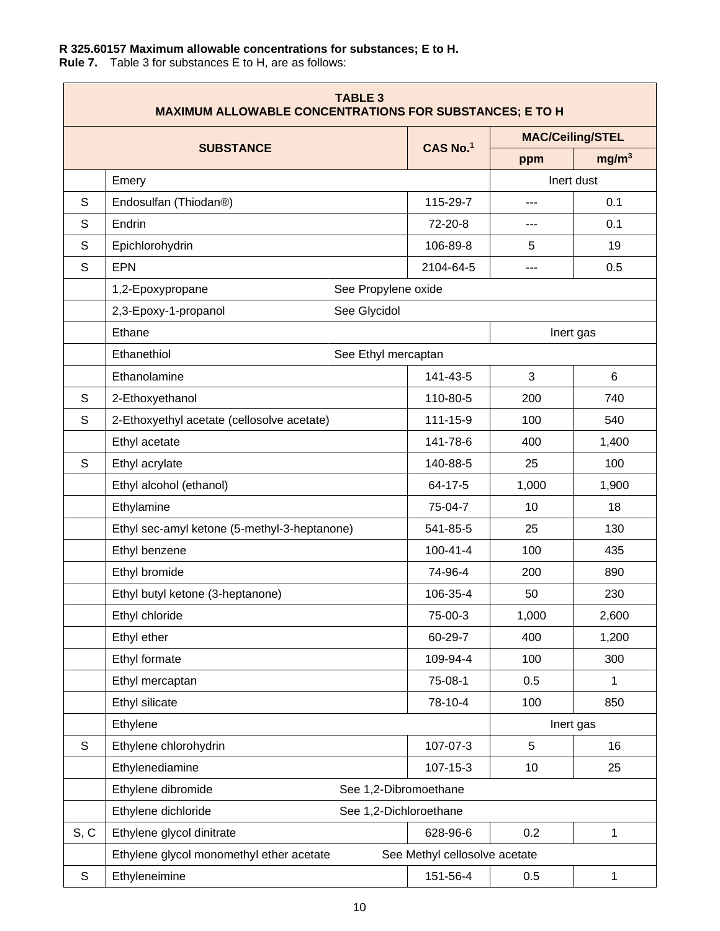## <span id="page-9-0"></span>**R 325.60157 Maximum allowable concentrations for substances; E to H.**

**Rule 7.** Table 3 for substances E to H, are as follows:

| <b>TABLE 3</b><br><b>MAXIMUM ALLOWABLE CONCENTRATIONS FOR SUBSTANCES; E TO H</b> |                                               |                               |       |                         |
|----------------------------------------------------------------------------------|-----------------------------------------------|-------------------------------|-------|-------------------------|
|                                                                                  | <b>SUBSTANCE</b>                              | CAS No.1                      |       | <b>MAC/Ceiling/STEL</b> |
|                                                                                  |                                               |                               | ppm   | mg/m <sup>3</sup>       |
|                                                                                  | Emery                                         |                               |       | Inert dust              |
| S                                                                                | Endosulfan (Thiodan®)                         | 115-29-7                      | ---   | 0.1                     |
| S                                                                                | Endrin                                        | 72-20-8                       | ---   | 0.1                     |
| S                                                                                | Epichlorohydrin                               | 106-89-8                      | 5     | 19                      |
| S                                                                                | <b>EPN</b>                                    | 2104-64-5                     | ---   | 0.5                     |
|                                                                                  | 1,2-Epoxypropane<br>See Propylene oxide       |                               |       |                         |
|                                                                                  | 2,3-Epoxy-1-propanol<br>See Glycidol          |                               |       |                         |
|                                                                                  | Ethane                                        |                               |       | Inert gas               |
|                                                                                  | Ethanethiol<br>See Ethyl mercaptan            |                               |       |                         |
|                                                                                  | Ethanolamine                                  | 141-43-5                      | 3     | 6                       |
| S                                                                                | 2-Ethoxyethanol                               | 110-80-5                      | 200   | 740                     |
| S                                                                                | 2-Ethoxyethyl acetate (cellosolve acetate)    | $111 - 15 - 9$                | 100   | 540                     |
|                                                                                  | Ethyl acetate                                 | 141-78-6                      | 400   | 1,400                   |
| S                                                                                | Ethyl acrylate                                | 140-88-5                      | 25    | 100                     |
|                                                                                  | Ethyl alcohol (ethanol)                       | 64-17-5                       | 1,000 | 1,900                   |
|                                                                                  | Ethylamine                                    | 75-04-7                       | 10    | 18                      |
|                                                                                  | Ethyl sec-amyl ketone (5-methyl-3-heptanone)  | 541-85-5                      | 25    | 130                     |
|                                                                                  | Ethyl benzene                                 | $100 - 41 - 4$                | 100   | 435                     |
|                                                                                  | Ethyl bromide                                 | 74-96-4                       | 200   | 890                     |
|                                                                                  | Ethyl butyl ketone (3-heptanone)              | 106-35-4                      | 50    | 230                     |
|                                                                                  | Ethyl chloride                                | 75-00-3                       | 1,000 | 2,600                   |
|                                                                                  | Ethyl ether                                   | 60-29-7                       | 400   | 1,200                   |
|                                                                                  | Ethyl formate                                 | 109-94-4                      | 100   | 300                     |
|                                                                                  | Ethyl mercaptan                               | 75-08-1                       | 0.5   | $\mathbf{1}$            |
|                                                                                  | Ethyl silicate                                | 78-10-4                       | 100   | 850                     |
|                                                                                  | Ethylene                                      |                               |       | Inert gas               |
| $\mathsf S$                                                                      | Ethylene chlorohydrin                         | 107-07-3                      | 5     | 16                      |
|                                                                                  | Ethylenediamine                               | $107 - 15 - 3$                | 10    | 25                      |
|                                                                                  | Ethylene dibromide<br>See 1,2-Dibromoethane   |                               |       |                         |
|                                                                                  | Ethylene dichloride<br>See 1,2-Dichloroethane |                               |       |                         |
| S, C                                                                             | Ethylene glycol dinitrate                     | 628-96-6                      | 0.2   | 1                       |
|                                                                                  | Ethylene glycol monomethyl ether acetate      | See Methyl cellosolve acetate |       |                         |
| $\mathbb S$                                                                      | Ethyleneimine                                 | 151-56-4                      | 0.5   | 1                       |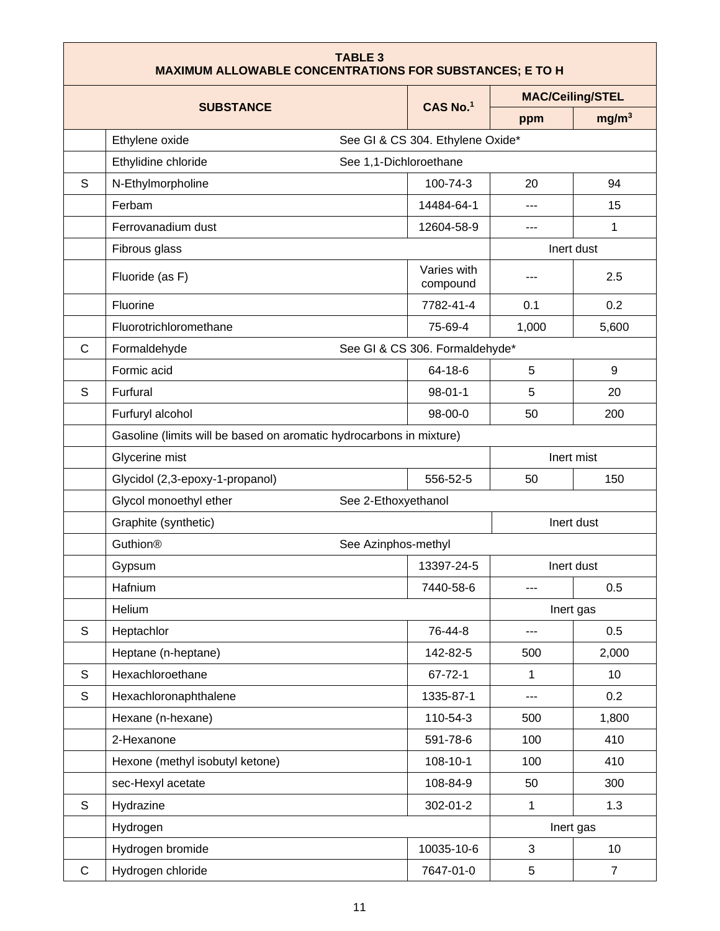| <b>TABLE 3</b><br><b>MAXIMUM ALLOWABLE CONCENTRATIONS FOR SUBSTANCES; E TO H</b> |                                                                     |                                  |              |                         |  |
|----------------------------------------------------------------------------------|---------------------------------------------------------------------|----------------------------------|--------------|-------------------------|--|
|                                                                                  |                                                                     |                                  |              | <b>MAC/Ceiling/STEL</b> |  |
|                                                                                  | <b>SUBSTANCE</b>                                                    | CAS No.1                         | ppm          | mg/m <sup>3</sup>       |  |
|                                                                                  | Ethylene oxide                                                      | See GI & CS 304. Ethylene Oxide* |              |                         |  |
|                                                                                  | Ethylidine chloride<br>See 1,1-Dichloroethane                       |                                  |              |                         |  |
| S                                                                                | N-Ethylmorpholine                                                   | 100-74-3                         | 20           | 94                      |  |
|                                                                                  | Ferbam                                                              | 14484-64-1                       | $---$        | 15                      |  |
|                                                                                  | Ferrovanadium dust                                                  | 12604-58-9                       | ---          | 1                       |  |
|                                                                                  | Fibrous glass                                                       |                                  |              | Inert dust              |  |
|                                                                                  | Fluoride (as F)                                                     | Varies with<br>compound          | ---          | 2.5                     |  |
|                                                                                  | Fluorine                                                            | 7782-41-4                        | 0.1          | 0.2                     |  |
|                                                                                  | Fluorotrichloromethane                                              | 75-69-4                          | 1,000        | 5,600                   |  |
| C                                                                                | Formaldehyde                                                        | See GI & CS 306. Formaldehyde*   |              |                         |  |
|                                                                                  | Formic acid                                                         | 64-18-6                          | 5            | 9                       |  |
| S                                                                                | Furfural                                                            | $98-01-1$                        | 5            | 20                      |  |
|                                                                                  | Furfuryl alcohol                                                    | $98-00-0$                        | 50           | 200                     |  |
|                                                                                  | Gasoline (limits will be based on aromatic hydrocarbons in mixture) |                                  |              |                         |  |
|                                                                                  | Glycerine mist<br>Inert mist                                        |                                  |              |                         |  |
|                                                                                  | Glycidol (2,3-epoxy-1-propanol)                                     | 556-52-5                         | 50           | 150                     |  |
|                                                                                  | Glycol monoethyl ether<br>See 2-Ethoxyethanol                       |                                  |              |                         |  |
|                                                                                  | Graphite (synthetic)                                                |                                  |              | Inert dust              |  |
|                                                                                  | <b>Guthion®</b><br>See Azinphos-methyl                              |                                  |              |                         |  |
|                                                                                  | Gypsum                                                              | 13397-24-5                       | Inert dust   |                         |  |
|                                                                                  | Hafnium                                                             | 7440-58-6                        | ---          | 0.5                     |  |
|                                                                                  | Helium                                                              |                                  |              | Inert gas               |  |
| S                                                                                | Heptachlor                                                          | 76-44-8                          | ---          | 0.5                     |  |
|                                                                                  | Heptane (n-heptane)                                                 | 142-82-5                         | 500          | 2,000                   |  |
| S                                                                                | Hexachloroethane                                                    | $67 - 72 - 1$                    | $\mathbf{1}$ | 10                      |  |
| S                                                                                | Hexachloronaphthalene                                               | 1335-87-1                        |              | 0.2                     |  |
|                                                                                  | Hexane (n-hexane)                                                   | 110-54-3                         | 500          | 1,800                   |  |
|                                                                                  | 2-Hexanone                                                          | 591-78-6                         | 100          | 410                     |  |
|                                                                                  | Hexone (methyl isobutyl ketone)                                     | 108-10-1                         | 100          | 410                     |  |
|                                                                                  | sec-Hexyl acetate                                                   | 108-84-9                         | 50           | 300                     |  |
| S                                                                                | Hydrazine                                                           | 302-01-2                         | 1            | 1.3                     |  |
|                                                                                  | Hydrogen                                                            |                                  |              | Inert gas               |  |
|                                                                                  | Hydrogen bromide                                                    | 10035-10-6                       | $\mathbf{3}$ | 10                      |  |
| C                                                                                | Hydrogen chloride                                                   | 7647-01-0                        | 5            | $\overline{7}$          |  |

F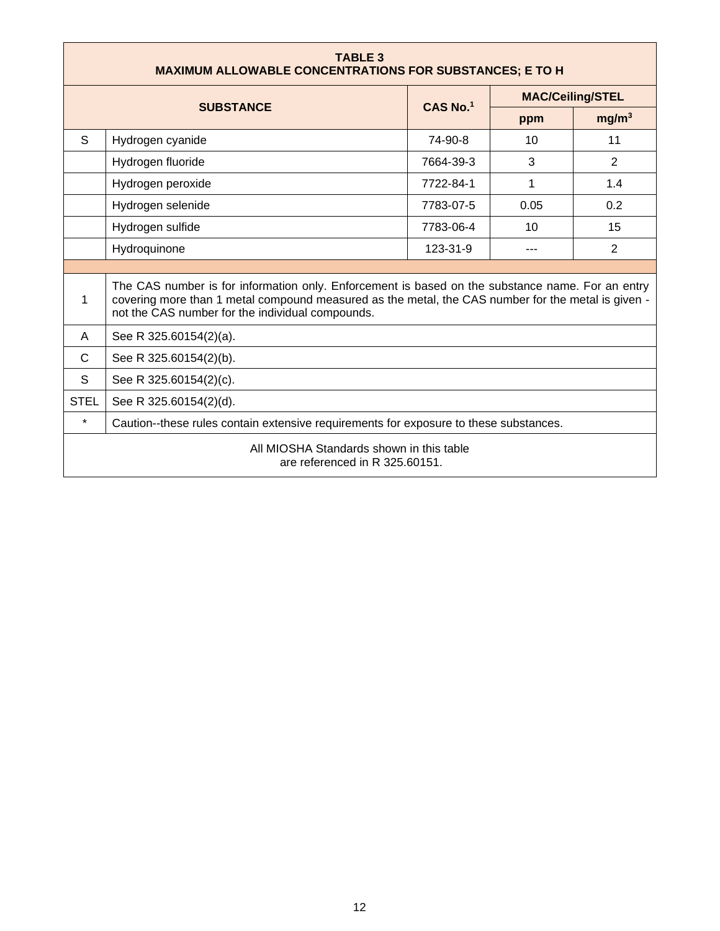| <b>TABLE 3</b><br><b>MAXIMUM ALLOWABLE CONCENTRATIONS FOR SUBSTANCES; E TO H</b>                 |                                                                                                                                                                                                                                                            |                        |                         |                   |
|--------------------------------------------------------------------------------------------------|------------------------------------------------------------------------------------------------------------------------------------------------------------------------------------------------------------------------------------------------------------|------------------------|-------------------------|-------------------|
|                                                                                                  | <b>SUBSTANCE</b>                                                                                                                                                                                                                                           | $CAS$ No. <sup>1</sup> | <b>MAC/Ceiling/STEL</b> |                   |
|                                                                                                  |                                                                                                                                                                                                                                                            |                        | ppm                     | mg/m <sup>3</sup> |
| S                                                                                                | Hydrogen cyanide                                                                                                                                                                                                                                           | 74-90-8                | 10                      | 11                |
|                                                                                                  | Hydrogen fluoride                                                                                                                                                                                                                                          | 7664-39-3              | 3                       | 2                 |
|                                                                                                  | Hydrogen peroxide                                                                                                                                                                                                                                          | 7722-84-1              | 1                       | 1.4               |
|                                                                                                  | Hydrogen selenide                                                                                                                                                                                                                                          | 7783-07-5              | 0.05                    | 0.2               |
|                                                                                                  | Hydrogen sulfide                                                                                                                                                                                                                                           | 7783-06-4              | 10                      | 15                |
|                                                                                                  | Hydroquinone                                                                                                                                                                                                                                               | 123-31-9               |                         | 2                 |
|                                                                                                  |                                                                                                                                                                                                                                                            |                        |                         |                   |
| 1                                                                                                | The CAS number is for information only. Enforcement is based on the substance name. For an entry<br>covering more than 1 metal compound measured as the metal, the CAS number for the metal is given -<br>not the CAS number for the individual compounds. |                        |                         |                   |
| A                                                                                                | See R 325.60154(2)(a).                                                                                                                                                                                                                                     |                        |                         |                   |
| $\mathsf{C}$                                                                                     | See R 325.60154(2)(b).                                                                                                                                                                                                                                     |                        |                         |                   |
| S                                                                                                | See R 325.60154(2)(c).                                                                                                                                                                                                                                     |                        |                         |                   |
| <b>STEL</b>                                                                                      | See R 325.60154(2)(d).                                                                                                                                                                                                                                     |                        |                         |                   |
| $\star$<br>Caution--these rules contain extensive requirements for exposure to these substances. |                                                                                                                                                                                                                                                            |                        |                         |                   |
| All MIOSHA Standards shown in this table<br>are referenced in R 325.60151.                       |                                                                                                                                                                                                                                                            |                        |                         |                   |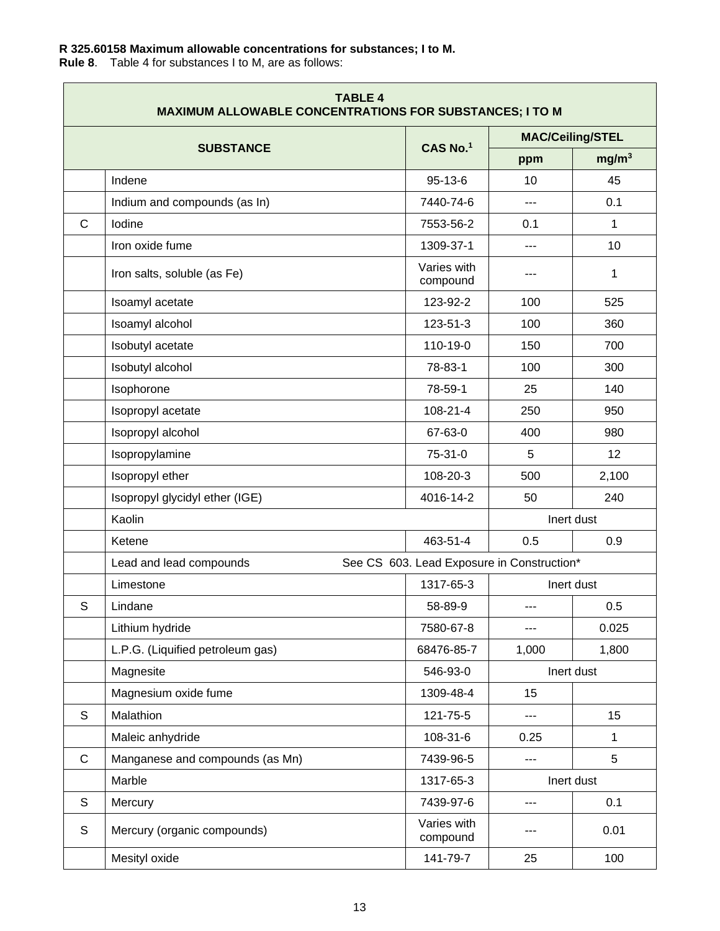## <span id="page-12-0"></span>**R 325.60158 Maximum allowable concentrations for substances; I to M.**

**Rule 8**. Table 4 for substances I to M, are as follows:

| <b>TABLE 4</b><br><b>MAXIMUM ALLOWABLE CONCENTRATIONS FOR SUBSTANCES; I TO M</b> |                                  |                                            |                         |                   |  |
|----------------------------------------------------------------------------------|----------------------------------|--------------------------------------------|-------------------------|-------------------|--|
|                                                                                  | <b>SUBSTANCE</b>                 | CAS No.1                                   | <b>MAC/Ceiling/STEL</b> |                   |  |
|                                                                                  |                                  |                                            | ppm                     | mg/m <sup>3</sup> |  |
|                                                                                  | Indene                           | $95 - 13 - 6$                              | 10                      | 45                |  |
|                                                                                  | Indium and compounds (as In)     | 7440-74-6                                  | ---                     | 0.1               |  |
| $\mathsf{C}$                                                                     | Iodine                           | 7553-56-2                                  | 0.1                     | 1                 |  |
|                                                                                  | Iron oxide fume                  | 1309-37-1                                  | ---                     | 10                |  |
|                                                                                  | Iron salts, soluble (as Fe)      | Varies with<br>compound                    | ---                     | 1                 |  |
|                                                                                  | Isoamyl acetate                  | 123-92-2                                   | 100                     | 525               |  |
|                                                                                  | Isoamyl alcohol                  | 123-51-3                                   | 100                     | 360               |  |
|                                                                                  | Isobutyl acetate                 | 110-19-0                                   | 150                     | 700               |  |
|                                                                                  | Isobutyl alcohol                 | 78-83-1                                    | 100                     | 300               |  |
|                                                                                  | Isophorone                       | 78-59-1                                    | 25                      | 140               |  |
|                                                                                  | Isopropyl acetate                | 108-21-4                                   | 250                     | 950               |  |
|                                                                                  | Isopropyl alcohol                | 67-63-0                                    | 400                     | 980               |  |
|                                                                                  | Isopropylamine                   | 75-31-0                                    | 5                       | 12                |  |
|                                                                                  | Isopropyl ether                  | 108-20-3                                   | 500                     | 2,100             |  |
|                                                                                  | Isopropyl glycidyl ether (IGE)   | 4016-14-2                                  | 50                      | 240               |  |
|                                                                                  | Kaolin                           |                                            | Inert dust              |                   |  |
|                                                                                  | Ketene                           | 463-51-4                                   | 0.5                     | 0.9               |  |
|                                                                                  | Lead and lead compounds          | See CS 603. Lead Exposure in Construction* |                         |                   |  |
|                                                                                  | Limestone                        | 1317-65-3                                  |                         | Inert dust        |  |
| S                                                                                | Lindane                          | 58-89-9                                    | ---                     | 0.5               |  |
|                                                                                  | Lithium hydride                  | 7580-67-8                                  |                         | 0.025             |  |
|                                                                                  | L.P.G. (Liquified petroleum gas) | 68476-85-7                                 | 1,000                   | 1,800             |  |
|                                                                                  | Magnesite                        | 546-93-0                                   |                         | Inert dust        |  |
|                                                                                  | Magnesium oxide fume             | 1309-48-4                                  | 15                      |                   |  |
| $\mathsf S$                                                                      | Malathion                        | 121-75-5                                   | ---                     | 15                |  |
|                                                                                  | Maleic anhydride                 | 108-31-6                                   | 0.25                    | $\mathbf{1}$      |  |
| $\mathsf{C}$                                                                     | Manganese and compounds (as Mn)  | 7439-96-5                                  | ---                     | 5                 |  |
|                                                                                  | Marble                           | 1317-65-3                                  | Inert dust              |                   |  |
| $\mathsf S$                                                                      | Mercury                          | 7439-97-6                                  | ---                     | 0.1               |  |
| $\mathsf S$                                                                      | Mercury (organic compounds)      | Varies with<br>compound                    |                         | 0.01              |  |
|                                                                                  | Mesityl oxide                    | 141-79-7                                   | 25                      | 100               |  |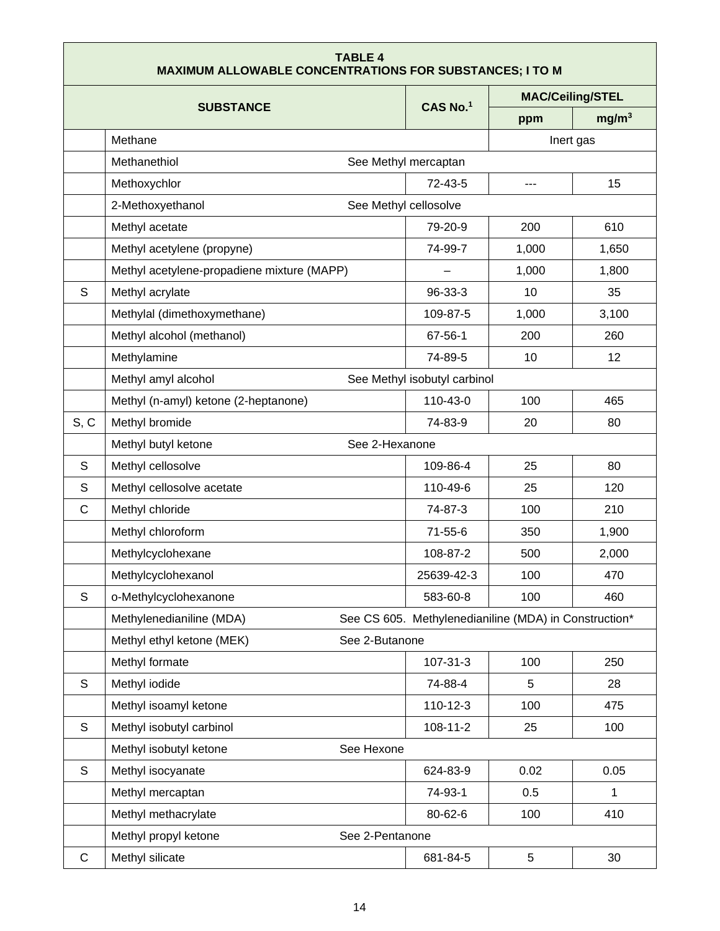#### **TABLE 4 MAXIMUM ALLOWABLE CONCENTRATIONS FOR SUBSTANCES; I TO M**

|              |                                                     |                                                       | <b>MAC/Ceiling/STEL</b> |                   |  |  |
|--------------|-----------------------------------------------------|-------------------------------------------------------|-------------------------|-------------------|--|--|
|              | <b>SUBSTANCE</b>                                    | CAS No.1                                              | ppm                     | mg/m <sup>3</sup> |  |  |
|              | Methane                                             |                                                       | Inert gas               |                   |  |  |
|              | Methanethiol                                        | See Methyl mercaptan                                  |                         |                   |  |  |
|              | Methoxychlor                                        | $72 - 43 - 5$                                         | ---                     | 15                |  |  |
|              | 2-Methoxyethanol<br>See Methyl cellosolve           |                                                       |                         |                   |  |  |
|              | Methyl acetate                                      | 79-20-9                                               | 200                     | 610               |  |  |
|              | Methyl acetylene (propyne)                          | 74-99-7                                               | 1,000                   | 1,650             |  |  |
|              | Methyl acetylene-propadiene mixture (MAPP)          |                                                       | 1,000                   | 1,800             |  |  |
| S            | Methyl acrylate                                     | 96-33-3                                               | 10                      | 35                |  |  |
|              | Methylal (dimethoxymethane)                         | 109-87-5                                              | 1,000                   | 3,100             |  |  |
|              | Methyl alcohol (methanol)                           | 67-56-1                                               | 200                     | 260               |  |  |
|              | Methylamine                                         | 74-89-5                                               | 10                      | 12                |  |  |
|              | See Methyl isobutyl carbinol<br>Methyl amyl alcohol |                                                       |                         |                   |  |  |
|              | Methyl (n-amyl) ketone (2-heptanone)                | 110-43-0                                              | 100                     | 465               |  |  |
| S, C         | Methyl bromide                                      | 74-83-9                                               | 20                      | 80                |  |  |
|              | Methyl butyl ketone<br>See 2-Hexanone               |                                                       |                         |                   |  |  |
| S            | Methyl cellosolve                                   | 109-86-4                                              | 25                      | 80                |  |  |
| S            | Methyl cellosolve acetate                           | 110-49-6                                              | 25                      | 120               |  |  |
| C            | Methyl chloride                                     | 74-87-3                                               | 100                     | 210               |  |  |
|              | Methyl chloroform                                   | $71 - 55 - 6$                                         | 350                     | 1,900             |  |  |
|              | Methylcyclohexane                                   | 108-87-2                                              | 500                     | 2,000             |  |  |
|              | Methylcyclohexanol                                  | 25639-42-3                                            | 100                     | 470               |  |  |
| S            | o-Methylcyclohexanone                               | 583-60-8                                              | 100                     | 460               |  |  |
|              | Methylenedianiline (MDA)                            | See CS 605. Methylenedianiline (MDA) in Construction* |                         |                   |  |  |
|              | Methyl ethyl ketone (MEK)<br>See 2-Butanone         |                                                       |                         |                   |  |  |
|              | Methyl formate                                      | 107-31-3                                              | 100                     | 250               |  |  |
| $\mathsf{S}$ | Methyl iodide                                       | 74-88-4                                               | 5                       | 28                |  |  |
|              | Methyl isoamyl ketone                               | 110-12-3                                              | 100                     | 475               |  |  |
| $\mathsf S$  | Methyl isobutyl carbinol                            | 108-11-2                                              | 25                      | 100               |  |  |
|              | Methyl isobutyl ketone<br>See Hexone                |                                                       |                         |                   |  |  |
| $\mathsf S$  | Methyl isocyanate                                   | 624-83-9                                              | 0.02                    | 0.05              |  |  |
|              | Methyl mercaptan                                    | 74-93-1                                               | 0.5                     | $\mathbf 1$       |  |  |
|              | Methyl methacrylate                                 | 80-62-6                                               | 100                     | 410               |  |  |
|              | Methyl propyl ketone<br>See 2-Pentanone             |                                                       |                         |                   |  |  |
| $\mathsf C$  | Methyl silicate                                     | 681-84-5                                              | $\,$ 5 $\,$             | 30                |  |  |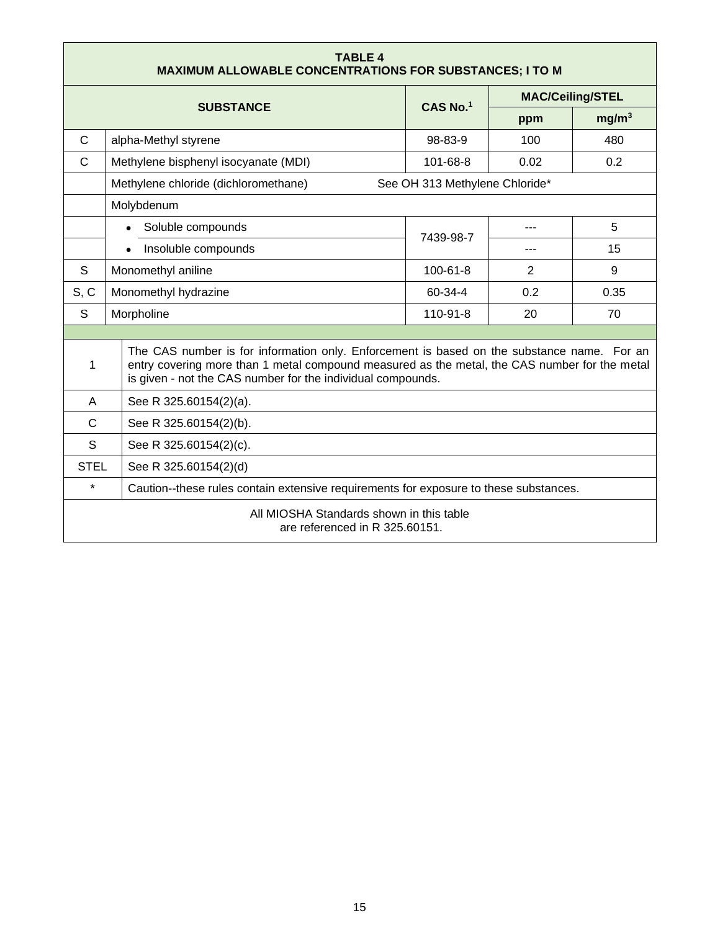<span id="page-14-0"></span>

| <b>TABLE 4</b><br><b>MAXIMUM ALLOWABLE CONCENTRATIONS FOR SUBSTANCES; I TO M</b> |                                                                                                                                                                                                                                                            |                                |                         |                   |
|----------------------------------------------------------------------------------|------------------------------------------------------------------------------------------------------------------------------------------------------------------------------------------------------------------------------------------------------------|--------------------------------|-------------------------|-------------------|
|                                                                                  | <b>SUBSTANCE</b>                                                                                                                                                                                                                                           | CAS No.1                       | <b>MAC/Ceiling/STEL</b> |                   |
|                                                                                  |                                                                                                                                                                                                                                                            |                                | ppm                     | mg/m <sup>3</sup> |
| C                                                                                | alpha-Methyl styrene                                                                                                                                                                                                                                       | 98-83-9                        | 100                     | 480               |
| $\mathsf{C}$                                                                     | Methylene bisphenyl isocyanate (MDI)                                                                                                                                                                                                                       | 101-68-8                       | 0.02                    | 0.2               |
|                                                                                  | Methylene chloride (dichloromethane)                                                                                                                                                                                                                       | See OH 313 Methylene Chloride* |                         |                   |
|                                                                                  | Molybdenum                                                                                                                                                                                                                                                 |                                |                         |                   |
|                                                                                  | Soluble compounds                                                                                                                                                                                                                                          |                                | ---                     | 5                 |
|                                                                                  | Insoluble compounds                                                                                                                                                                                                                                        | 7439-98-7                      | ---                     | 15                |
| S                                                                                | Monomethyl aniline                                                                                                                                                                                                                                         | 100-61-8                       | 2                       | $9\,$             |
| S, C                                                                             | Monomethyl hydrazine                                                                                                                                                                                                                                       | 60-34-4                        | 0.2                     | 0.35              |
| S                                                                                | Morpholine                                                                                                                                                                                                                                                 | 110-91-8                       | 20                      | 70                |
|                                                                                  |                                                                                                                                                                                                                                                            |                                |                         |                   |
| 1                                                                                | The CAS number is for information only. Enforcement is based on the substance name. For an<br>entry covering more than 1 metal compound measured as the metal, the CAS number for the metal<br>is given - not the CAS number for the individual compounds. |                                |                         |                   |
| A                                                                                | See R 325.60154(2)(a).                                                                                                                                                                                                                                     |                                |                         |                   |
| $\mathsf{C}$                                                                     | See R 325.60154(2)(b).                                                                                                                                                                                                                                     |                                |                         |                   |
| S                                                                                | See R 325.60154(2)(c).                                                                                                                                                                                                                                     |                                |                         |                   |
|                                                                                  | <b>STEL</b><br>See R 325.60154(2)(d)                                                                                                                                                                                                                       |                                |                         |                   |
| $\star$                                                                          | Caution--these rules contain extensive requirements for exposure to these substances.                                                                                                                                                                      |                                |                         |                   |
| All MIOSHA Standards shown in this table<br>are referenced in R 325,60151.       |                                                                                                                                                                                                                                                            |                                |                         |                   |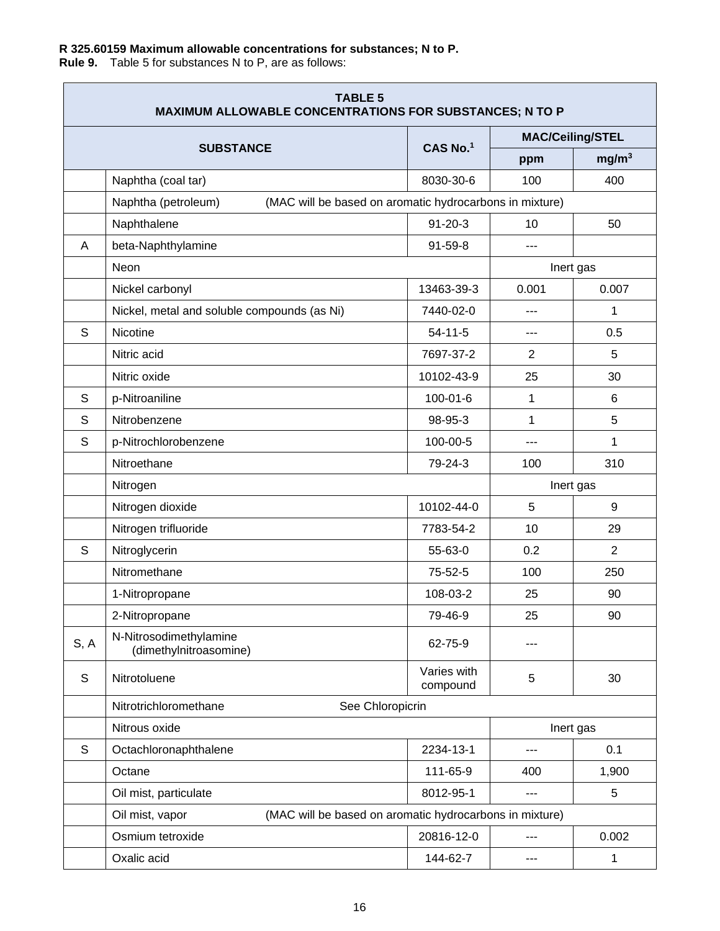## **R 325.60159 Maximum allowable concentrations for substances; N to P.**

**Rule 9.** Table 5 for substances N to P, are as follows:

| <b>TABLE 5</b><br><b>MAXIMUM ALLOWABLE CONCENTRATIONS FOR SUBSTANCES; N TO P</b> |                                                                                |                         |                         |                   |
|----------------------------------------------------------------------------------|--------------------------------------------------------------------------------|-------------------------|-------------------------|-------------------|
|                                                                                  |                                                                                | CAS No.1                | <b>MAC/Ceiling/STEL</b> |                   |
|                                                                                  | <b>SUBSTANCE</b>                                                               |                         | ppm                     | mg/m <sup>3</sup> |
|                                                                                  | Naphtha (coal tar)                                                             | 8030-30-6               | 100                     | 400               |
|                                                                                  | (MAC will be based on aromatic hydrocarbons in mixture)<br>Naphtha (petroleum) |                         |                         |                   |
|                                                                                  | Naphthalene                                                                    | $91 - 20 - 3$           | 10                      | 50                |
| A                                                                                | beta-Naphthylamine                                                             | $91 - 59 - 8$           | ---                     |                   |
|                                                                                  | Neon                                                                           |                         |                         | Inert gas         |
|                                                                                  | Nickel carbonyl                                                                | 13463-39-3              | 0.001                   | 0.007             |
|                                                                                  | Nickel, metal and soluble compounds (as Ni)                                    | 7440-02-0               |                         | 1                 |
| S                                                                                | <b>Nicotine</b>                                                                |                         | ---                     | 0.5               |
|                                                                                  | Nitric acid                                                                    | 7697-37-2               | $\overline{2}$          | 5                 |
|                                                                                  | Nitric oxide                                                                   |                         | 25                      | 30                |
| S                                                                                | p-Nitroaniline                                                                 | $100 - 01 - 6$          | 1                       | 6                 |
| S                                                                                | Nitrobenzene                                                                   | 98-95-3                 | 1                       | 5                 |
| S                                                                                | p-Nitrochlorobenzene                                                           | 100-00-5                | $---$                   | 1                 |
|                                                                                  | Nitroethane                                                                    | 79-24-3                 | 100                     | 310               |
|                                                                                  | Nitrogen                                                                       |                         | Inert gas               |                   |
|                                                                                  | Nitrogen dioxide                                                               | 10102-44-0              | 5                       | 9                 |
|                                                                                  | Nitrogen trifluoride                                                           | 7783-54-2               | 10                      | 29                |
| S                                                                                | Nitroglycerin                                                                  | 55-63-0                 | 0.2                     | $\overline{2}$    |
|                                                                                  | Nitromethane                                                                   | 75-52-5                 | 100                     | 250               |
|                                                                                  | 1-Nitropropane                                                                 | 108-03-2                | 25                      | 90                |
|                                                                                  | 2-Nitropropane                                                                 | 79-46-9                 | 25                      | 90                |
| S, A                                                                             | N-Nitrosodimethylamine<br>(dimethylnitroasomine)                               | 62-75-9                 |                         |                   |
| $\mathsf S$                                                                      | Nitrotoluene                                                                   | Varies with<br>compound | 5                       | 30                |
|                                                                                  | Nitrotrichloromethane<br>See Chloropicrin                                      |                         |                         |                   |
|                                                                                  | Nitrous oxide                                                                  |                         |                         | Inert gas         |
| $\mathsf{S}$                                                                     | Octachloronaphthalene                                                          | 2234-13-1               | ---                     | 0.1               |
|                                                                                  | Octane                                                                         | 111-65-9                | 400                     | 1,900             |
|                                                                                  | Oil mist, particulate                                                          | 8012-95-1               | ---                     | 5                 |
|                                                                                  | (MAC will be based on aromatic hydrocarbons in mixture)<br>Oil mist, vapor     |                         |                         |                   |
|                                                                                  | Osmium tetroxide                                                               | 20816-12-0              | $---$                   | 0.002             |
|                                                                                  | Oxalic acid                                                                    | 144-62-7                | ---                     | 1                 |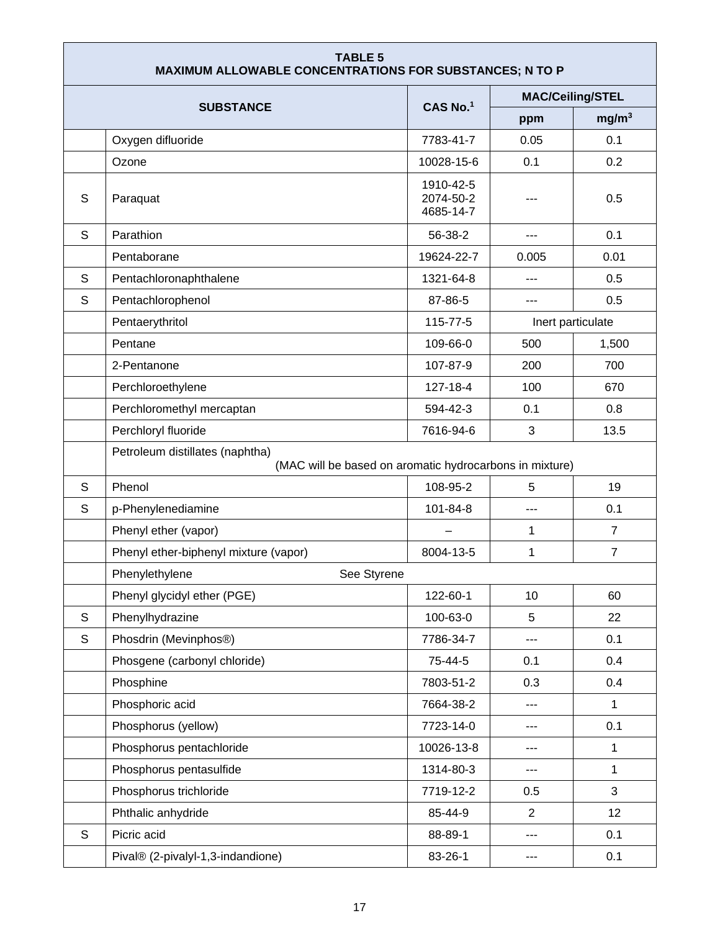| <b>TABLE 5</b><br><b>MAXIMUM ALLOWABLE CONCENTRATIONS FOR SUBSTANCES; N TO P</b> |                                                                                            |                                     |                         |                   |
|----------------------------------------------------------------------------------|--------------------------------------------------------------------------------------------|-------------------------------------|-------------------------|-------------------|
|                                                                                  |                                                                                            | CAS No.1                            | <b>MAC/Ceiling/STEL</b> |                   |
|                                                                                  | <b>SUBSTANCE</b>                                                                           |                                     | ppm                     | mg/m <sup>3</sup> |
|                                                                                  | Oxygen difluoride                                                                          | 7783-41-7                           | 0.05                    | 0.1               |
|                                                                                  | Ozone                                                                                      | 10028-15-6                          | 0.1                     | 0.2               |
| S                                                                                | Paraquat                                                                                   | 1910-42-5<br>2074-50-2<br>4685-14-7 |                         | 0.5               |
| S                                                                                | Parathion                                                                                  | 56-38-2                             | $---$                   | 0.1               |
|                                                                                  | Pentaborane                                                                                | 19624-22-7                          | 0.005                   | 0.01              |
| S                                                                                | Pentachloronaphthalene                                                                     | 1321-64-8                           | ---                     | 0.5               |
| S                                                                                | Pentachlorophenol                                                                          | 87-86-5                             | ---                     | 0.5               |
|                                                                                  | Pentaerythritol                                                                            | 115-77-5                            |                         | Inert particulate |
|                                                                                  | Pentane                                                                                    | 109-66-0                            | 500                     | 1,500             |
|                                                                                  | 2-Pentanone                                                                                | 107-87-9                            | 200                     | 700               |
|                                                                                  | Perchloroethylene                                                                          | 127-18-4                            | 100                     | 670               |
|                                                                                  | Perchloromethyl mercaptan                                                                  | 594-42-3                            | 0.1                     | 0.8               |
|                                                                                  | Perchloryl fluoride                                                                        | 7616-94-6                           | 3                       | 13.5              |
|                                                                                  | Petroleum distillates (naphtha)<br>(MAC will be based on aromatic hydrocarbons in mixture) |                                     |                         |                   |
| S                                                                                | Phenol                                                                                     | 108-95-2                            | 5                       | 19                |
| S                                                                                | p-Phenylenediamine                                                                         | 101-84-8                            | ---                     | 0.1               |
|                                                                                  | Phenyl ether (vapor)                                                                       |                                     | 1                       | $\overline{7}$    |
|                                                                                  | Phenyl ether-biphenyl mixture (vapor)                                                      | 8004-13-5                           | 1                       | $\overline{7}$    |
|                                                                                  | Phenylethylene<br>See Styrene                                                              |                                     |                         |                   |
|                                                                                  | Phenyl glycidyl ether (PGE)                                                                | 122-60-1                            | 10                      | 60                |
| S                                                                                | Phenylhydrazine                                                                            | 100-63-0                            | 5                       | 22                |
| $\mathsf S$                                                                      | Phosdrin (Mevinphos®)                                                                      | 7786-34-7                           |                         | 0.1               |
|                                                                                  | Phosgene (carbonyl chloride)                                                               | 75-44-5                             | 0.1                     | 0.4               |
|                                                                                  | Phosphine                                                                                  | 7803-51-2                           | 0.3                     | 0.4               |
|                                                                                  | Phosphoric acid                                                                            | 7664-38-2                           | ---                     | $\mathbf{1}$      |
|                                                                                  | Phosphorus (yellow)                                                                        | 7723-14-0                           | ---                     | 0.1               |
|                                                                                  | Phosphorus pentachloride                                                                   | 10026-13-8                          | ---                     | $\mathbf 1$       |
|                                                                                  | Phosphorus pentasulfide                                                                    | 1314-80-3                           | ---                     | $\mathbf{1}$      |
|                                                                                  | Phosphorus trichloride                                                                     | 7719-12-2                           | 0.5                     | 3                 |
|                                                                                  | Phthalic anhydride                                                                         | 85-44-9                             | 2                       | 12                |
| S                                                                                | Picric acid                                                                                | 88-89-1                             | ---                     | 0.1               |
|                                                                                  | Pival® (2-pivalyl-1,3-indandione)                                                          | 83-26-1                             | ---                     | 0.1               |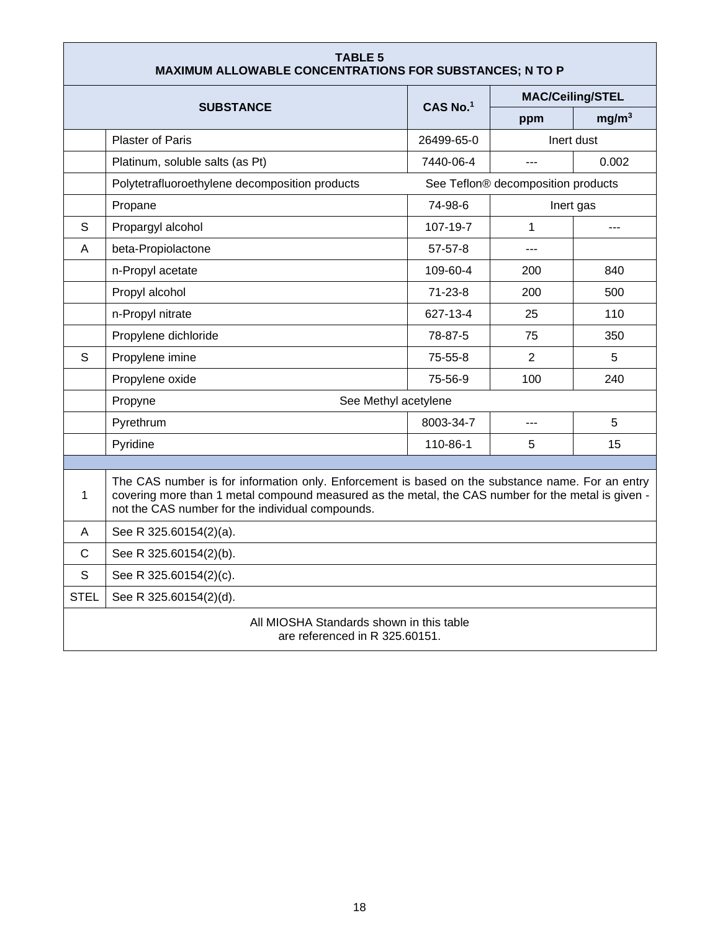<span id="page-17-0"></span>

| <b>TABLE 5</b><br>MAXIMUM ALLOWABLE CONCENTRATIONS FOR SUBSTANCES; N TO P |                                                                                                                                                                                                                                                            |               |                                    |                   |  |
|---------------------------------------------------------------------------|------------------------------------------------------------------------------------------------------------------------------------------------------------------------------------------------------------------------------------------------------------|---------------|------------------------------------|-------------------|--|
|                                                                           | <b>SUBSTANCE</b>                                                                                                                                                                                                                                           | CAS No.1      | <b>MAC/Ceiling/STEL</b>            |                   |  |
|                                                                           |                                                                                                                                                                                                                                                            |               | ppm                                | mg/m <sup>3</sup> |  |
|                                                                           | <b>Plaster of Paris</b>                                                                                                                                                                                                                                    | 26499-65-0    |                                    | Inert dust        |  |
|                                                                           | Platinum, soluble salts (as Pt)                                                                                                                                                                                                                            | 7440-06-4     | $-$ --                             | 0.002             |  |
|                                                                           | Polytetrafluoroethylene decomposition products                                                                                                                                                                                                             |               | See Teflon® decomposition products |                   |  |
|                                                                           | Propane                                                                                                                                                                                                                                                    | 74-98-6       | Inert gas                          |                   |  |
| S                                                                         | Propargyl alcohol                                                                                                                                                                                                                                          | 107-19-7      | $\mathbf{1}$                       | ---               |  |
| A                                                                         | beta-Propiolactone                                                                                                                                                                                                                                         | $57 - 57 - 8$ | $- - -$                            |                   |  |
|                                                                           | n-Propyl acetate                                                                                                                                                                                                                                           | 109-60-4      | 200                                | 840               |  |
|                                                                           | Propyl alcohol                                                                                                                                                                                                                                             | $71 - 23 - 8$ | 200                                | 500               |  |
|                                                                           | n-Propyl nitrate                                                                                                                                                                                                                                           | 627-13-4      | 25                                 | 110               |  |
|                                                                           | Propylene dichloride                                                                                                                                                                                                                                       | 78-87-5       | 75                                 | 350               |  |
| S                                                                         | Propylene imine                                                                                                                                                                                                                                            | 75-55-8       | 2                                  | 5                 |  |
|                                                                           | Propylene oxide                                                                                                                                                                                                                                            | 75-56-9       | 100                                | 240               |  |
|                                                                           | Propyne<br>See Methyl acetylene                                                                                                                                                                                                                            |               |                                    |                   |  |
|                                                                           | Pyrethrum                                                                                                                                                                                                                                                  | 8003-34-7     | $---$                              | 5                 |  |
|                                                                           | Pyridine                                                                                                                                                                                                                                                   | 110-86-1      | 5                                  | 15                |  |
|                                                                           |                                                                                                                                                                                                                                                            |               |                                    |                   |  |
| 1                                                                         | The CAS number is for information only. Enforcement is based on the substance name. For an entry<br>covering more than 1 metal compound measured as the metal, the CAS number for the metal is given -<br>not the CAS number for the individual compounds. |               |                                    |                   |  |
| A                                                                         | See R 325.60154(2)(a).                                                                                                                                                                                                                                     |               |                                    |                   |  |
| C                                                                         | See R 325.60154(2)(b).                                                                                                                                                                                                                                     |               |                                    |                   |  |
| S                                                                         | See R 325.60154(2)(c).                                                                                                                                                                                                                                     |               |                                    |                   |  |
| <b>STEL</b>                                                               | See R 325.60154(2)(d).                                                                                                                                                                                                                                     |               |                                    |                   |  |
|                                                                           | All MIOSHA Standards shown in this table<br>are referenced in R 325.60151.                                                                                                                                                                                 |               |                                    |                   |  |

٦

Г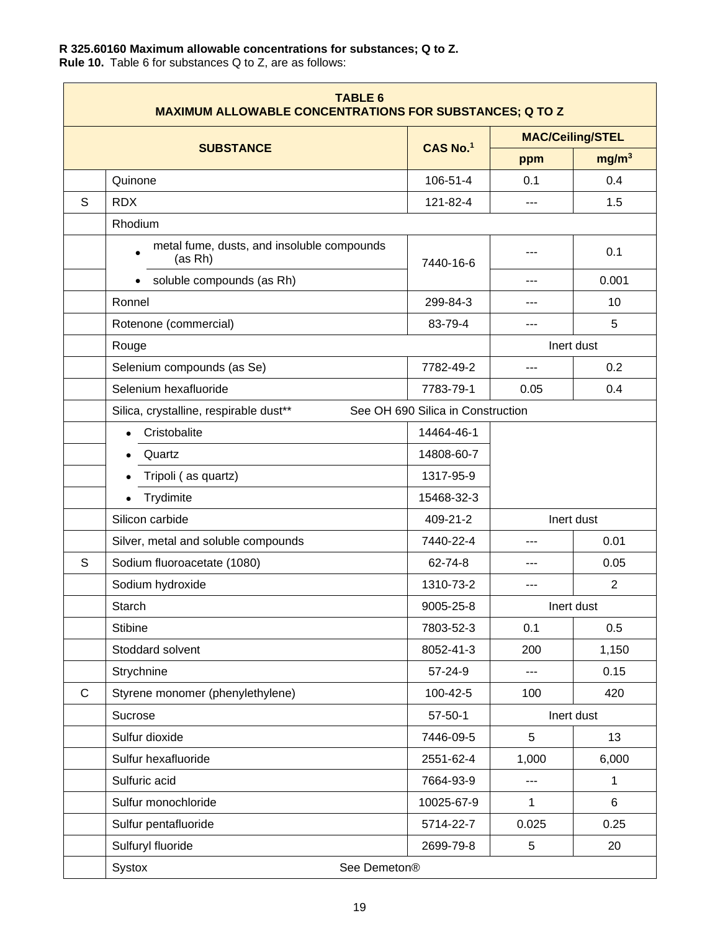## **R 325.60160 Maximum allowable concentrations for substances; Q to Z.**

**Rule 10.** Table 6 for substances Q to Z, are as follows:

| <b>TABLE 6</b><br><b>MAXIMUM ALLOWABLE CONCENTRATIONS FOR SUBSTANCES; Q TO Z</b> |                                                                    |                                   |                         |                   |
|----------------------------------------------------------------------------------|--------------------------------------------------------------------|-----------------------------------|-------------------------|-------------------|
|                                                                                  |                                                                    | CAS No.1                          | <b>MAC/Ceiling/STEL</b> |                   |
|                                                                                  | <b>SUBSTANCE</b>                                                   |                                   | ppm                     | mg/m <sup>3</sup> |
|                                                                                  | Quinone                                                            | 106-51-4                          | 0.1                     | 0.4               |
| S                                                                                | <b>RDX</b>                                                         | 121-82-4                          | $---$                   | 1.5               |
|                                                                                  | Rhodium                                                            |                                   |                         |                   |
|                                                                                  | metal fume, dusts, and insoluble compounds<br>$\bullet$<br>(as Rh) | 7440-16-6                         |                         | 0.1               |
|                                                                                  | soluble compounds (as Rh)<br>$\bullet$                             |                                   | ---                     | 0.001             |
|                                                                                  | Ronnel                                                             | 299-84-3                          |                         | 10                |
|                                                                                  | Rotenone (commercial)                                              | 83-79-4                           | ---                     | 5                 |
|                                                                                  | Rouge                                                              |                                   |                         | Inert dust        |
|                                                                                  | Selenium compounds (as Se)                                         | 7782-49-2                         | ---                     | 0.2               |
|                                                                                  | Selenium hexafluoride                                              | 7783-79-1                         | 0.05                    | 0.4               |
|                                                                                  | Silica, crystalline, respirable dust**                             | See OH 690 Silica in Construction |                         |                   |
|                                                                                  | Cristobalite                                                       | 14464-46-1                        |                         |                   |
|                                                                                  | Quartz                                                             | 14808-60-7                        |                         |                   |
|                                                                                  | Tripoli (as quartz)                                                | 1317-95-9                         |                         |                   |
|                                                                                  | Trydimite                                                          | 15468-32-3                        |                         |                   |
|                                                                                  | Silicon carbide                                                    | 409-21-2                          |                         | Inert dust        |
|                                                                                  | Silver, metal and soluble compounds                                | 7440-22-4                         | ---                     | 0.01              |
| S                                                                                | Sodium fluoroacetate (1080)                                        | 62-74-8                           | ---                     | 0.05              |
|                                                                                  | Sodium hydroxide                                                   | 1310-73-2                         |                         | $\overline{2}$    |
|                                                                                  | Starch                                                             | 9005-25-8                         |                         | Inert dust        |
|                                                                                  | <b>Stibine</b>                                                     | 7803-52-3                         | 0.1                     | 0.5               |
|                                                                                  | Stoddard solvent                                                   | 8052-41-3                         | 200                     | 1,150             |
|                                                                                  | Strychnine                                                         | 57-24-9                           | ---                     | 0.15              |
| $\mathsf{C}$                                                                     | Styrene monomer (phenylethylene)                                   | 100-42-5                          | 100                     | 420               |
|                                                                                  | Sucrose                                                            | $57 - 50 - 1$                     |                         | Inert dust        |
|                                                                                  | Sulfur dioxide                                                     | 7446-09-5                         | 5                       | 13                |
|                                                                                  | Sulfur hexafluoride                                                | 2551-62-4                         | 1,000                   | 6,000             |
|                                                                                  | Sulfuric acid                                                      | 7664-93-9                         | ---                     | 1                 |
|                                                                                  | Sulfur monochloride                                                | 10025-67-9                        | $\mathbf{1}$            | 6                 |
|                                                                                  | Sulfur pentafluoride                                               | 5714-22-7                         | 0.025                   | 0.25              |
|                                                                                  | Sulfuryl fluoride                                                  | 2699-79-8                         | 5                       | 20                |
|                                                                                  | Systox<br>See Demeton <sup>®</sup>                                 |                                   |                         |                   |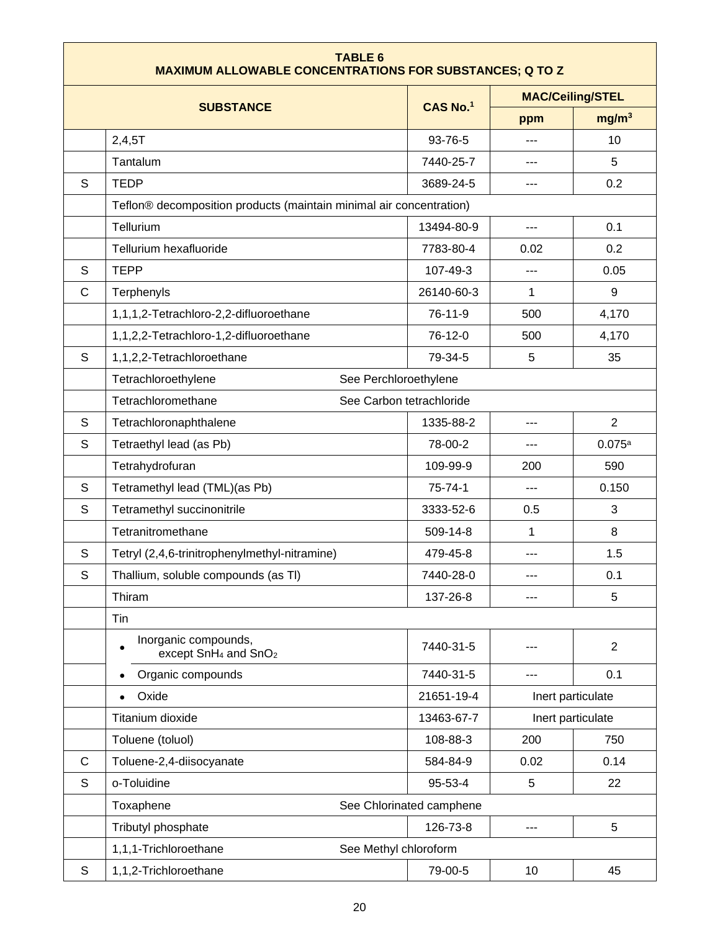| <b>TABLE 6</b><br><b>MAXIMUM ALLOWABLE CONCENTRATIONS FOR SUBSTANCES; Q TO Z</b> |                                                                      |                          |                         |                   |  |
|----------------------------------------------------------------------------------|----------------------------------------------------------------------|--------------------------|-------------------------|-------------------|--|
|                                                                                  |                                                                      |                          | <b>MAC/Ceiling/STEL</b> |                   |  |
|                                                                                  | <b>SUBSTANCE</b>                                                     | CAS No.1                 | ppm                     | mg/m <sup>3</sup> |  |
|                                                                                  | 2,4,5T                                                               | 93-76-5                  |                         | 10                |  |
|                                                                                  | Tantalum                                                             | 7440-25-7                | ---                     | 5                 |  |
| S                                                                                | <b>TEDP</b>                                                          | 3689-24-5                | ---                     | 0.2               |  |
|                                                                                  | Teflon® decomposition products (maintain minimal air concentration)  |                          |                         |                   |  |
| Tellurium                                                                        |                                                                      | 13494-80-9               | $---$                   | 0.1               |  |
|                                                                                  | Tellurium hexafluoride                                               | 7783-80-4                | 0.02                    | 0.2               |  |
| S                                                                                | <b>TEPP</b>                                                          | 107-49-3                 | ---                     | 0.05              |  |
| C                                                                                | Terphenyls                                                           | 26140-60-3               | 1                       | 9                 |  |
|                                                                                  | 1,1,1,2-Tetrachloro-2,2-difluoroethane                               | 76-11-9                  | 500                     | 4,170             |  |
|                                                                                  | 1,1,2,2-Tetrachloro-1,2-difluoroethane                               | 76-12-0                  | 500                     | 4,170             |  |
| S                                                                                | 1,1,2,2-Tetrachloroethane                                            | 79-34-5                  | 5                       | 35                |  |
|                                                                                  | Tetrachloroethylene<br>See Perchloroethylene                         |                          |                         |                   |  |
|                                                                                  | Tetrachloromethane<br>See Carbon tetrachloride                       |                          |                         |                   |  |
| S                                                                                | Tetrachloronaphthalene                                               | 1335-88-2                | ---                     | $\overline{2}$    |  |
| S                                                                                | Tetraethyl lead (as Pb)                                              | 78-00-2                  | ---                     | 0.075a            |  |
|                                                                                  | Tetrahydrofuran                                                      | 109-99-9                 | 200                     | 590               |  |
| S                                                                                | Tetramethyl lead (TML)(as Pb)                                        | 75-74-1                  | ---                     | 0.150             |  |
| S                                                                                | Tetramethyl succinonitrile                                           | 3333-52-6                | 0.5                     | 3                 |  |
|                                                                                  | Tetranitromethane                                                    | 509-14-8                 | 1                       | 8                 |  |
| S                                                                                | Tetryl (2,4,6-trinitrophenylmethyl-nitramine)                        | 479-45-8                 | ---                     | 1.5               |  |
| S                                                                                | Thallium, soluble compounds (as TI)                                  | 7440-28-0                |                         | 0.1               |  |
|                                                                                  | Thiram                                                               | 137-26-8                 | ---                     | 5                 |  |
|                                                                                  | Tin                                                                  |                          |                         |                   |  |
|                                                                                  | Inorganic compounds,<br>except SnH <sub>4</sub> and SnO <sub>2</sub> | 7440-31-5                |                         | $\overline{2}$    |  |
|                                                                                  | Organic compounds                                                    | 7440-31-5                |                         | 0.1               |  |
|                                                                                  | Oxide                                                                | 21651-19-4               |                         | Inert particulate |  |
|                                                                                  | Titanium dioxide                                                     | 13463-67-7               |                         | Inert particulate |  |
|                                                                                  | Toluene (toluol)                                                     | 108-88-3                 | 200                     | 750               |  |
| $\mathsf{C}$                                                                     | Toluene-2,4-diisocyanate                                             | 584-84-9                 | 0.02                    | 0.14              |  |
| S                                                                                | o-Toluidine                                                          | 95-53-4                  | 5                       | 22                |  |
|                                                                                  | Toxaphene                                                            | See Chlorinated camphene |                         |                   |  |
|                                                                                  | Tributyl phosphate                                                   | 126-73-8                 | ---                     | 5                 |  |
|                                                                                  | 1,1,1-Trichloroethane<br>See Methyl chloroform                       |                          |                         |                   |  |
| S                                                                                | 1,1,2-Trichloroethane                                                | 79-00-5                  | 10                      | 45                |  |

r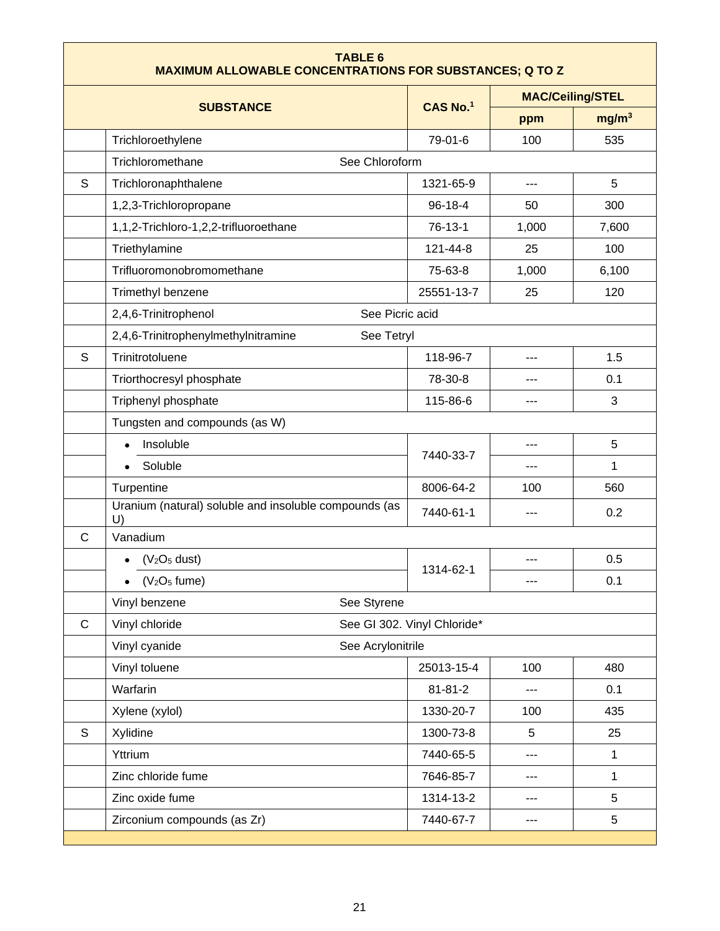| <b>TABLE 6</b><br><b>MAXIMUM ALLOWABLE CONCENTRATIONS FOR SUBSTANCES; Q TO Z</b> |                                                             |                             |                         |                   |  |  |
|----------------------------------------------------------------------------------|-------------------------------------------------------------|-----------------------------|-------------------------|-------------------|--|--|
|                                                                                  |                                                             |                             | <b>MAC/Ceiling/STEL</b> |                   |  |  |
|                                                                                  | <b>SUBSTANCE</b>                                            | CAS No.1                    | ppm                     | mg/m <sup>3</sup> |  |  |
|                                                                                  | Trichloroethylene                                           | 79-01-6                     | 100                     | 535               |  |  |
|                                                                                  | Trichloromethane<br>See Chloroform                          |                             |                         |                   |  |  |
| S                                                                                | Trichloronaphthalene                                        | 1321-65-9                   | $---$                   | 5                 |  |  |
|                                                                                  | 1,2,3-Trichloropropane                                      | 96-18-4                     | 50                      | 300               |  |  |
|                                                                                  | 1,1,2-Trichloro-1,2,2-trifluoroethane                       | 76-13-1                     | 1,000                   | 7,600             |  |  |
|                                                                                  | Triethylamine                                               | 121-44-8                    | 25                      | 100               |  |  |
|                                                                                  | Trifluoromonobromomethane                                   | 75-63-8                     | 1,000                   | 6,100             |  |  |
|                                                                                  | Trimethyl benzene                                           | 25551-13-7                  | 25                      | 120               |  |  |
|                                                                                  | 2,4,6-Trinitrophenol<br>See Picric acid                     |                             |                         |                   |  |  |
|                                                                                  | 2,4,6-Trinitrophenylmethylnitramine<br>See Tetryl           |                             |                         |                   |  |  |
| S                                                                                | Trinitrotoluene                                             | 118-96-7                    | ---                     | 1.5               |  |  |
|                                                                                  | Triorthocresyl phosphate                                    | 78-30-8                     | ---                     | 0.1               |  |  |
|                                                                                  | Triphenyl phosphate                                         |                             | ---                     | 3                 |  |  |
|                                                                                  | Tungsten and compounds (as W)                               |                             |                         |                   |  |  |
|                                                                                  | Insoluble                                                   | 7440-33-7                   | ---                     | 5                 |  |  |
|                                                                                  | Soluble                                                     |                             |                         | 1                 |  |  |
|                                                                                  | Turpentine                                                  | 8006-64-2                   | 100                     | 560               |  |  |
|                                                                                  | Uranium (natural) soluble and insoluble compounds (as<br>U) | 7440-61-1                   |                         | 0.2               |  |  |
| C                                                                                | Vanadium                                                    |                             |                         |                   |  |  |
|                                                                                  | (V <sub>2</sub> O <sub>5</sub> dust)                        | 1314-62-1                   | ---                     | 0.5               |  |  |
|                                                                                  | $(V2O5$ fume)<br>$\bullet$                                  |                             | $---$                   | 0.1               |  |  |
|                                                                                  | Vinyl benzene<br>See Styrene                                |                             |                         |                   |  |  |
| $\mathsf C$                                                                      | Vinyl chloride                                              | See GI 302. Vinyl Chloride* |                         |                   |  |  |
|                                                                                  | Vinyl cyanide<br>See Acrylonitrile                          |                             |                         |                   |  |  |
|                                                                                  | Vinyl toluene                                               | 25013-15-4                  | 100                     | 480               |  |  |
|                                                                                  | Warfarin                                                    | $81 - 81 - 2$               | $---$                   | 0.1               |  |  |
|                                                                                  | Xylene (xylol)                                              | 1330-20-7                   | 100                     | 435               |  |  |
| S                                                                                | Xylidine                                                    | 1300-73-8                   | 5                       | 25                |  |  |
|                                                                                  | Yttrium                                                     | 7440-65-5                   | ---                     | $\mathbf{1}$      |  |  |
|                                                                                  | Zinc chloride fume                                          | 7646-85-7                   |                         | $\mathbf{1}$      |  |  |
|                                                                                  | Zinc oxide fume                                             | 1314-13-2                   |                         | 5                 |  |  |
|                                                                                  | Zirconium compounds (as Zr)                                 | 7440-67-7                   |                         | 5                 |  |  |
|                                                                                  |                                                             |                             |                         |                   |  |  |

Γ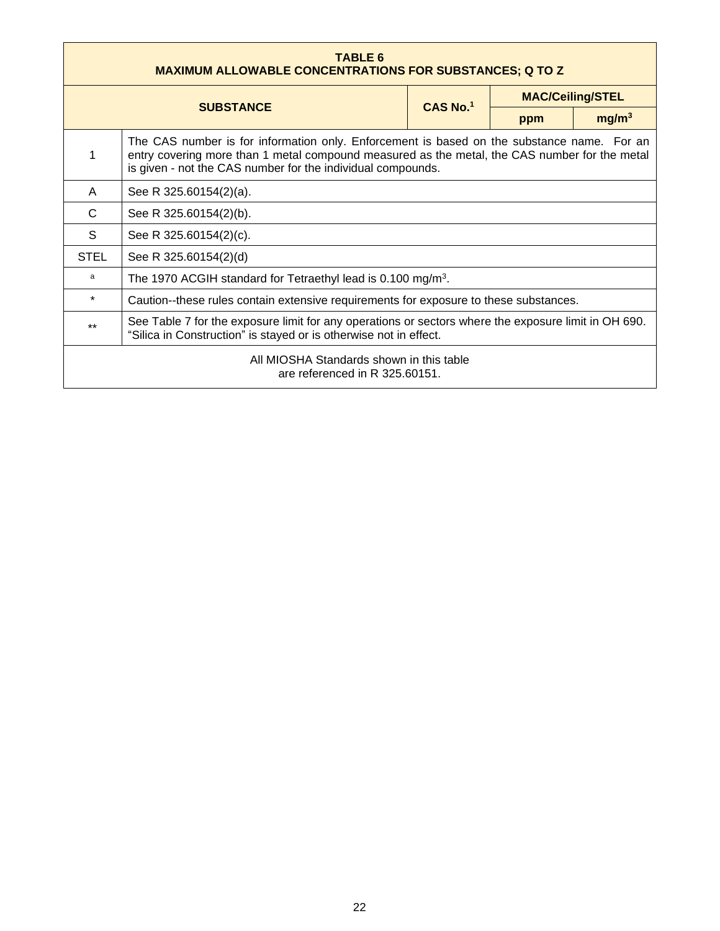<span id="page-21-0"></span>

| <b>TABLE 6</b><br><b>MAXIMUM ALLOWABLE CONCENTRATIONS FOR SUBSTANCES; Q TO Z</b>                                                                                                                                                                                |                                                                                       |          |     |                         |
|-----------------------------------------------------------------------------------------------------------------------------------------------------------------------------------------------------------------------------------------------------------------|---------------------------------------------------------------------------------------|----------|-----|-------------------------|
| <b>SUBSTANCE</b>                                                                                                                                                                                                                                                |                                                                                       |          |     | <b>MAC/Ceiling/STEL</b> |
|                                                                                                                                                                                                                                                                 |                                                                                       | CAS No.1 | ppm | mg/m <sup>3</sup>       |
| The CAS number is for information only. Enforcement is based on the substance name. For an<br>entry covering more than 1 metal compound measured as the metal, the CAS number for the metal<br>1<br>is given - not the CAS number for the individual compounds. |                                                                                       |          |     |                         |
| A                                                                                                                                                                                                                                                               | See R 325.60154(2)(a).                                                                |          |     |                         |
| C                                                                                                                                                                                                                                                               | See R 325.60154(2)(b).                                                                |          |     |                         |
| S                                                                                                                                                                                                                                                               | See R 325.60154(2)(c).                                                                |          |     |                         |
| <b>STEL</b>                                                                                                                                                                                                                                                     | See R 325.60154(2)(d)                                                                 |          |     |                         |
| a                                                                                                                                                                                                                                                               | The 1970 ACGIH standard for Tetraethyl lead is 0.100 mg/m <sup>3</sup> .              |          |     |                         |
| $\star$                                                                                                                                                                                                                                                         | Caution--these rules contain extensive requirements for exposure to these substances. |          |     |                         |
| See Table 7 for the exposure limit for any operations or sectors where the exposure limit in OH 690.<br>$***$<br>"Silica in Construction" is stayed or is otherwise not in effect.                                                                              |                                                                                       |          |     |                         |
| All MIOSHA Standards shown in this table<br>are referenced in R 325.60151.                                                                                                                                                                                      |                                                                                       |          |     |                         |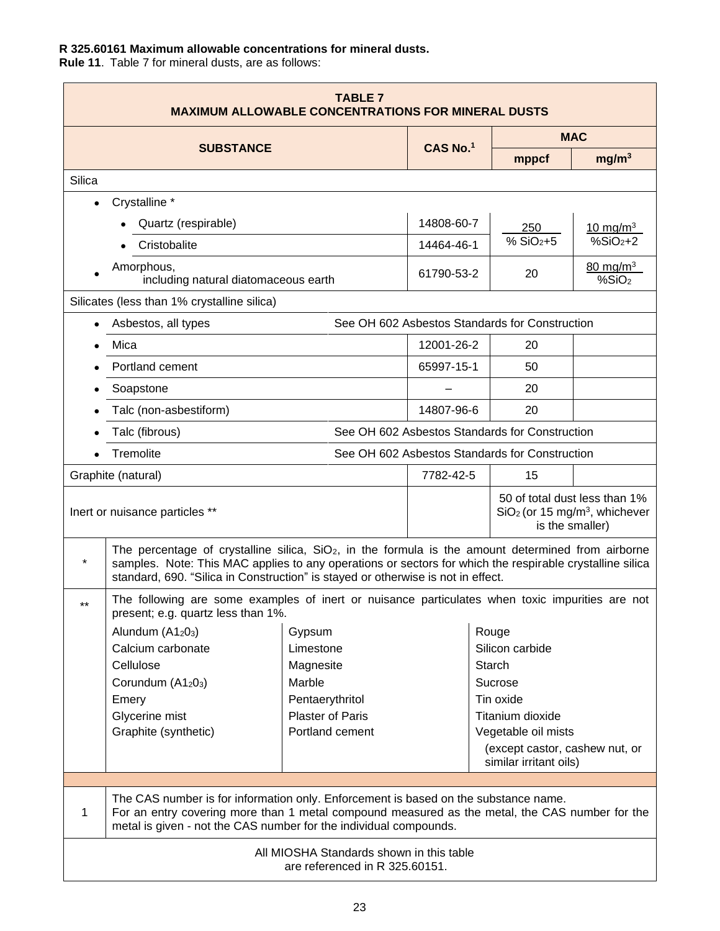## **R 325.60161 Maximum allowable concentrations for mineral dusts.**

**Rule 11**. Table 7 for mineral dusts, are as follows:

| <b>TABLE 7</b><br><b>MAXIMUM ALLOWABLE CONCENTRATIONS FOR MINERAL DUSTS</b> |                                                                                                                                                                                                                                                                                                      |                                                                            |            |                                                                                 |                                                |                                                                              |
|-----------------------------------------------------------------------------|------------------------------------------------------------------------------------------------------------------------------------------------------------------------------------------------------------------------------------------------------------------------------------------------------|----------------------------------------------------------------------------|------------|---------------------------------------------------------------------------------|------------------------------------------------|------------------------------------------------------------------------------|
|                                                                             |                                                                                                                                                                                                                                                                                                      |                                                                            | CAS No.1   |                                                                                 | <b>MAC</b>                                     |                                                                              |
|                                                                             | <b>SUBSTANCE</b>                                                                                                                                                                                                                                                                                     |                                                                            |            |                                                                                 | mppcf                                          | mg/m <sup>3</sup>                                                            |
| Silica                                                                      |                                                                                                                                                                                                                                                                                                      |                                                                            |            |                                                                                 |                                                |                                                                              |
|                                                                             | Crystalline *                                                                                                                                                                                                                                                                                        |                                                                            |            |                                                                                 |                                                |                                                                              |
|                                                                             | Quartz (respirable)                                                                                                                                                                                                                                                                                  |                                                                            | 14808-60-7 |                                                                                 | 250                                            | $10 \,\mathrm{mg/m^3}$                                                       |
|                                                                             | Cristobalite                                                                                                                                                                                                                                                                                         |                                                                            | 14464-46-1 |                                                                                 | $% SiO2+5$                                     | $%SiO2+2$                                                                    |
|                                                                             | Amorphous,<br>including natural diatomaceous earth                                                                                                                                                                                                                                                   |                                                                            | 61790-53-2 |                                                                                 | 20                                             | $80 \,\mathrm{mg/m^3}$<br>%SiO <sub>2</sub>                                  |
|                                                                             | Silicates (less than 1% crystalline silica)                                                                                                                                                                                                                                                          |                                                                            |            |                                                                                 |                                                |                                                                              |
|                                                                             | Asbestos, all types                                                                                                                                                                                                                                                                                  |                                                                            |            |                                                                                 | See OH 602 Asbestos Standards for Construction |                                                                              |
|                                                                             | Mica                                                                                                                                                                                                                                                                                                 |                                                                            | 12001-26-2 |                                                                                 | 20                                             |                                                                              |
|                                                                             | Portland cement                                                                                                                                                                                                                                                                                      |                                                                            | 65997-15-1 |                                                                                 | 50                                             |                                                                              |
|                                                                             | Soapstone                                                                                                                                                                                                                                                                                            |                                                                            |            |                                                                                 | 20                                             |                                                                              |
|                                                                             | Talc (non-asbestiform)                                                                                                                                                                                                                                                                               |                                                                            | 14807-96-6 |                                                                                 | 20                                             |                                                                              |
|                                                                             | Talc (fibrous)                                                                                                                                                                                                                                                                                       |                                                                            |            |                                                                                 | See OH 602 Asbestos Standards for Construction |                                                                              |
|                                                                             | Tremolite                                                                                                                                                                                                                                                                                            |                                                                            |            |                                                                                 | See OH 602 Asbestos Standards for Construction |                                                                              |
|                                                                             | Graphite (natural)                                                                                                                                                                                                                                                                                   |                                                                            | 7782-42-5  |                                                                                 | 15                                             |                                                                              |
|                                                                             | Inert or nuisance particles **                                                                                                                                                                                                                                                                       |                                                                            |            |                                                                                 | is the smaller)                                | 50 of total dust less than 1%<br>$SiO2$ (or 15 mg/m <sup>3</sup> , whichever |
| $^\star$                                                                    | The percentage of crystalline silica, $SiO2$ , in the formula is the amount determined from airborne<br>samples. Note: This MAC applies to any operations or sectors for which the respirable crystalline silica<br>standard, 690. "Silica in Construction" is stayed or otherwise is not in effect. |                                                                            |            |                                                                                 |                                                |                                                                              |
| $***$                                                                       | The following are some examples of inert or nuisance particulates when toxic impurities are not<br>present; e.g. quartz less than 1%.                                                                                                                                                                |                                                                            |            |                                                                                 |                                                |                                                                              |
|                                                                             | Alundum $(A1203)$                                                                                                                                                                                                                                                                                    | Gypsum                                                                     |            |                                                                                 | Rouge                                          |                                                                              |
|                                                                             | Calcium carbonate<br>Cellulose                                                                                                                                                                                                                                                                       | Limestone<br>Magnesite                                                     |            |                                                                                 | Silicon carbide<br>Starch                      |                                                                              |
|                                                                             | Corundum (A1203)                                                                                                                                                                                                                                                                                     | Marble                                                                     |            |                                                                                 | Sucrose                                        |                                                                              |
|                                                                             | Emery                                                                                                                                                                                                                                                                                                | Pentaerythritol                                                            |            |                                                                                 | Tin oxide                                      |                                                                              |
|                                                                             | Glycerine mist                                                                                                                                                                                                                                                                                       | <b>Plaster of Paris</b>                                                    |            |                                                                                 | Titanium dioxide                               |                                                                              |
|                                                                             | Graphite (synthetic)                                                                                                                                                                                                                                                                                 | Portland cement                                                            |            | Vegetable oil mists<br>(except castor, cashew nut, or<br>similar irritant oils) |                                                |                                                                              |
|                                                                             |                                                                                                                                                                                                                                                                                                      |                                                                            |            |                                                                                 |                                                |                                                                              |
| 1                                                                           | The CAS number is for information only. Enforcement is based on the substance name.<br>For an entry covering more than 1 metal compound measured as the metal, the CAS number for the<br>metal is given - not the CAS number for the individual compounds.                                           |                                                                            |            |                                                                                 |                                                |                                                                              |
|                                                                             |                                                                                                                                                                                                                                                                                                      | All MIOSHA Standards shown in this table<br>are referenced in R 325.60151. |            |                                                                                 |                                                |                                                                              |